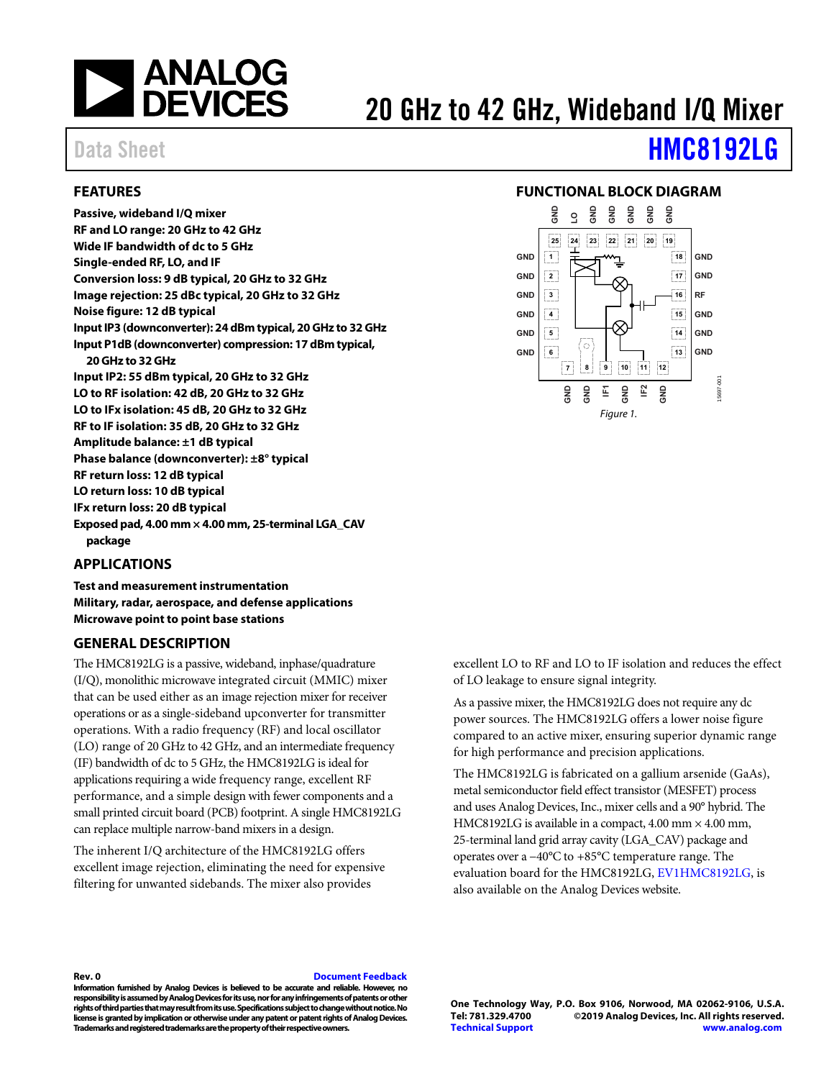

# 20 GHz to 42 GHz, Wideband I/Q Mixer

# Data Sheet **[HMC8192LG](http://www.analog.com/HMC8192?doc=HMC8192LG.pdf)**

#### <span id="page-0-0"></span>**FEATURES**

**Passive, wideband I/Q mixer RF and LO range: 20 GHz to 42 GHz Wide IF bandwidth of dc to 5 GHz Single-ended RF, LO, and IF Conversion loss: 9 dB typical, 20 GHz to 32 GHz Image rejection: 25 dBc typical, 20 GHz to 32 GHz Noise figure: 12 dB typical Input IP3 (downconverter): 24 dBm typical, 20 GHz to 32 GHz Input P1dB (downconverter) compression: 17 dBm typical, 20 GHz to 32 GHz Input IP2: 55 dBm typical, 20 GHz to 32 GHz LO to RF isolation: 42 dB, 20 GHz to 32 GHz LO to IFx isolation: 45 dB, 20 GHz to 32 GHz RF to IF isolation: 35 dB, 20 GHz to 32 GHz Amplitude balance: ±1 dB typical Phase balance (downconverter): ±8° typical RF return loss: 12 dB typical LO return loss: 10 dB typical IFx return loss: 20 dB typical Exposed pad, 4.00 mm × 4.00 mm, 25-terminal LGA\_CAV package** 

#### <span id="page-0-1"></span>**APPLICATIONS**

**Test and measurement instrumentation Military, radar, aerospace, and defense applications Microwave point to point base stations** 

#### <span id="page-0-3"></span>**GENERAL DESCRIPTION**

The HMC8192LG is a passive, wideband, inphase/quadrature (I/Q), monolithic microwave integrated circuit (MMIC) mixer that can be used either as an image rejection mixer for receiver operations or as a single-sideband upconverter for transmitter operations. With a radio frequency (RF) and local oscillator (LO) range of 20 GHz to 42 GHz, and an intermediate frequency (IF) bandwidth of dc to 5 GHz, the HMC8192LG is ideal for applications requiring a wide frequency range, excellent RF performance, and a simple design with fewer components and a small printed circuit board (PCB) footprint. A single HMC8192LG can replace multiple narrow-band mixers in a design.

The inherent I/Q architecture of the HMC8192LG offers excellent image rejection, eliminating the need for expensive filtering for unwanted sidebands. The mixer also provides

#### <span id="page-0-2"></span>**FUNCTIONAL BLOCK DIAGRAM**



excellent LO to RF and LO to IF isolation and reduces the effect of LO leakage to ensure signal integrity.

As a passive mixer, the HMC8192LG does not require any dc power sources. The HMC8192LG offers a lower noise figure compared to an active mixer, ensuring superior dynamic range for high performance and precision applications.

The HMC8192LG is fabricated on a gallium arsenide (GaAs), metal semiconductor field effect transistor (MESFET) process and uses Analog Devices, Inc., mixer cells and a 90° hybrid. The HMC8192LG is available in a compact,  $4.00$  mm  $\times$   $4.00$  mm, 25-terminal land grid array cavity (LGA\_CAV) package and operates over a −40°C to +85°C temperature range. The evaluation board for the HMC8192LG, [EV1HMC8192LG,](http://www.analog.com/EVAL-HMC8192?doc=HMC8192.pdf) is also available on the Analog Devices website.

**Rev. 0 [Document Feedback](https://form.analog.com/Form_Pages/feedback/documentfeedback.aspx?doc=HMC8192LG.pdf&product=HMC8192LG&rev=0)** 

**Information furnished by Analog Devices is believed to be accurate and reliable. However, no responsibility is assumed by Analog Devices for its use, nor for any infringements of patents or other rights of third parties that may result from its use. Specifications subject to change without notice. No license is granted by implication or otherwise under any patent or patent rights of Analog Devices. Trademarks and registered trademarks are the property of their respective owners.** 

**One Technology Way, P.O. Box 9106, Norwood, MA 02062-9106, U.S.A.** ©2019 Analog Devices, Inc. All rights reserved. **[Technical Support](http://www.analog.com/en/content/technical_support_page/fca.html) [www.analog.com](http://www.analog.com?doc=HMC8192.pdf)**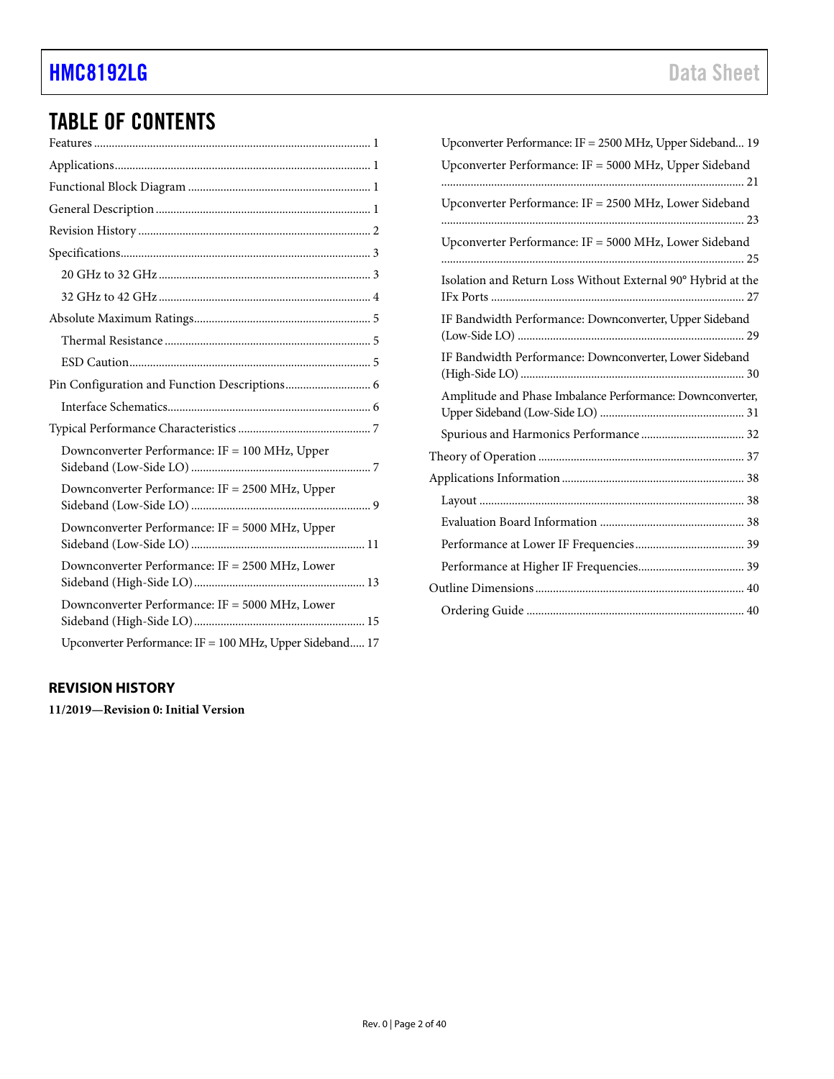# TABLE OF CONTENTS

| Downconverter Performance: IF = 100 MHz, Upper           |
|----------------------------------------------------------|
| Downconverter Performance: IF = 2500 MHz, Upper          |
| Downconverter Performance: IF = 5000 MHz, Upper          |
| Downconverter Performance: IF = 2500 MHz, Lower          |
| Downconverter Performance: IF = 5000 MHz, Lower          |
| Upconverter Performance: IF = 100 MHz, Upper Sideband 17 |

#### <span id="page-1-0"></span>**REVISION HISTORY**

**11/2019—Revision 0: Initial Version** 

| Upconverter Performance: IF = 2500 MHz, Upper Sideband 19    |
|--------------------------------------------------------------|
| Upconverter Performance: IF = 5000 MHz, Upper Sideband       |
|                                                              |
| Upconverter Performance: IF = 2500 MHz, Lower Sideband       |
|                                                              |
| Upconverter Performance: IF = 5000 MHz, Lower Sideband       |
|                                                              |
| Isolation and Return Loss Without External 90° Hybrid at the |
| IF Bandwidth Performance: Downconverter, Upper Sideband      |
|                                                              |
| IF Bandwidth Performance: Downconverter, Lower Sideband      |
| Amplitude and Phase Imbalance Performance: Downconverter,    |
|                                                              |
|                                                              |
|                                                              |
|                                                              |
|                                                              |
|                                                              |
|                                                              |
|                                                              |
|                                                              |
|                                                              |
|                                                              |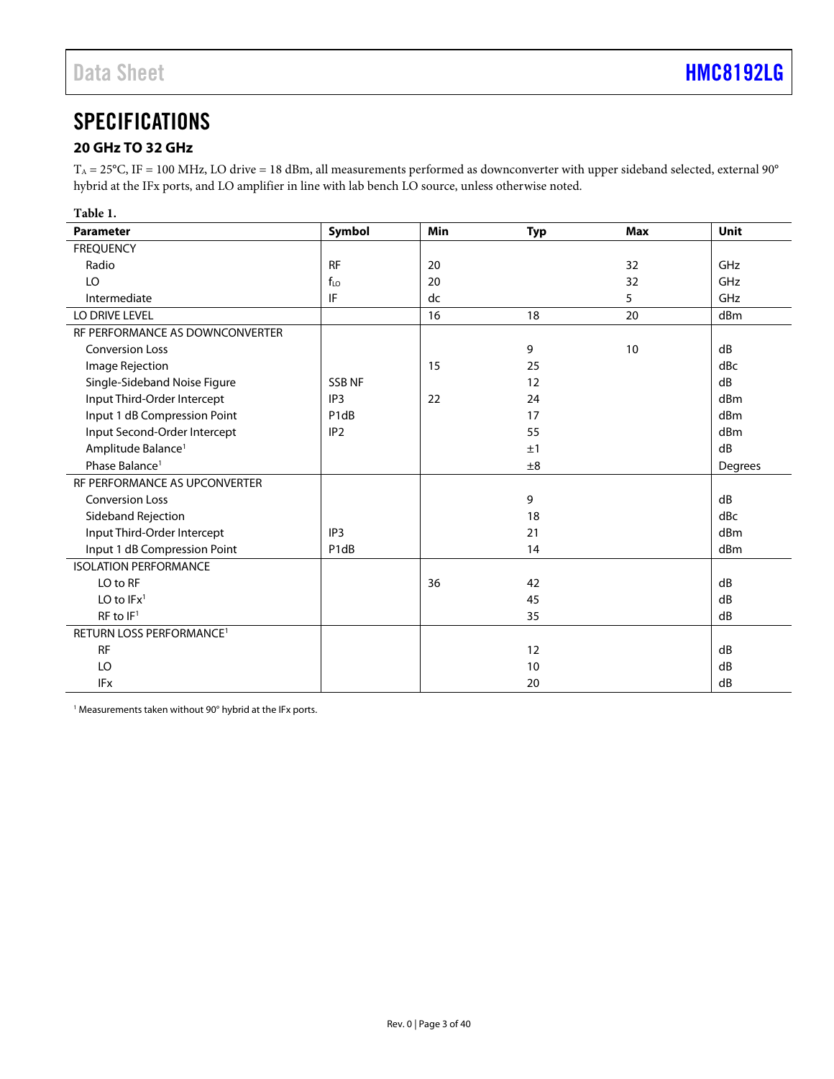# <span id="page-2-0"></span>**SPECIFICATIONS**

#### <span id="page-2-1"></span>**20 GHz TO 32 GHz**

 $T_A = 25^{\circ}$ C, IF = 100 MHz, LO drive = 18 dBm, all measurements performed as downconverter with upper sideband selected, external 90 $^{\circ}$ hybrid at the IFx ports, and LO amplifier in line with lab bench LO source, unless otherwise noted.

| Table 1.                             |                               |            |            |            |             |
|--------------------------------------|-------------------------------|------------|------------|------------|-------------|
| <b>Parameter</b>                     | Symbol                        | <b>Min</b> | <b>Typ</b> | <b>Max</b> | <b>Unit</b> |
| <b>FREQUENCY</b>                     |                               |            |            |            |             |
| Radio                                | <b>RF</b>                     | 20         |            | 32         | GHz         |
| LO                                   | $f_{LO}$                      | 20         |            | 32         | GHz         |
| Intermediate                         | IF                            | dc         |            | 5          | GHz         |
| LO DRIVE LEVEL                       |                               | 16         | 18         | 20         | dBm         |
| RF PERFORMANCE AS DOWNCONVERTER      |                               |            |            |            |             |
| <b>Conversion Loss</b>               |                               |            | 9          | 10         | dB          |
| Image Rejection                      |                               | 15         | 25         |            | dBc         |
| Single-Sideband Noise Figure         | <b>SSBNF</b>                  |            | 12         |            | dB          |
| Input Third-Order Intercept          | IP <sub>3</sub>               | 22         | 24         |            | dBm         |
| Input 1 dB Compression Point         | P <sub>1</sub> d <sub>B</sub> |            | 17         |            | dBm         |
| Input Second-Order Intercept         | IP <sub>2</sub>               |            | 55         |            | dBm         |
| Amplitude Balance <sup>1</sup>       |                               |            | ±1         |            | dB          |
| Phase Balance <sup>1</sup>           |                               |            | ±8         |            | Degrees     |
| RF PERFORMANCE AS UPCONVERTER        |                               |            |            |            |             |
| <b>Conversion Loss</b>               |                               |            | 9          |            | dB          |
| Sideband Rejection                   |                               |            | 18         |            | dBc         |
| Input Third-Order Intercept          | IP <sub>3</sub>               |            | 21         |            | dBm         |
| Input 1 dB Compression Point         | P <sub>1</sub> d <sub>B</sub> |            | 14         |            | dBm         |
| <b>ISOLATION PERFORMANCE</b>         |                               |            |            |            |             |
| LO to RF                             |                               | 36         | 42         |            | dB          |
| LO to $IFx1$                         |                               |            | 45         |            | dB          |
| RF to IF <sup>1</sup>                |                               |            | 35         |            | dB          |
| RETURN LOSS PERFORMANCE <sup>1</sup> |                               |            |            |            |             |
| <b>RF</b>                            |                               |            | 12         |            | dB          |
| LO                                   |                               |            | 10         |            | dB          |
| <b>IFx</b>                           |                               |            | 20         |            | dB          |

1 Measurements taken without 90° hybrid at the IFx ports.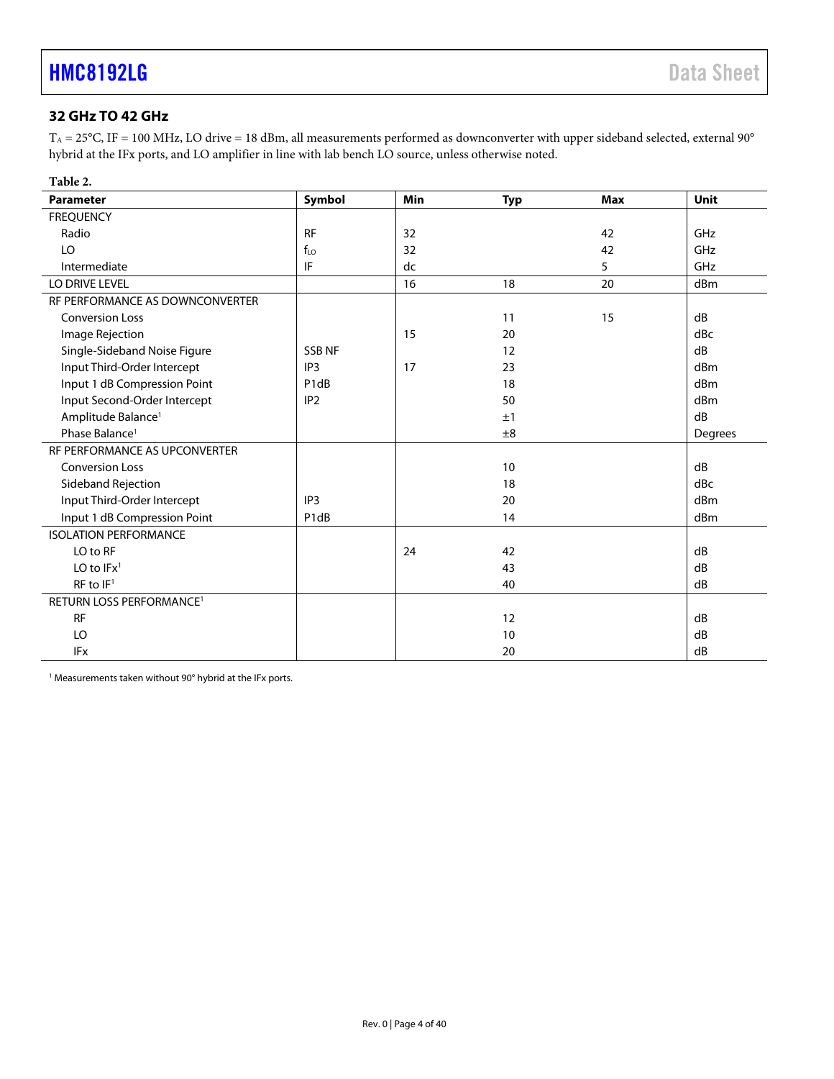### <span id="page-3-0"></span>**32 GHz TO 42 GHz**

 $T_A = 25^{\circ}$ C, IF = 100 MHz, LO drive = 18 dBm, all measurements performed as downconverter with upper sideband selected, external 90 $^{\circ}$ hybrid at the IFx ports, and LO amplifier in line with lab bench LO source, unless otherwise noted.

| Table 2.                        |                               |     |            |            |         |
|---------------------------------|-------------------------------|-----|------------|------------|---------|
| <b>Parameter</b>                | Symbol                        | Min | <b>Typ</b> | <b>Max</b> | Unit    |
| <b>FREQUENCY</b>                |                               |     |            |            |         |
| Radio                           | <b>RF</b>                     | 32  |            | 42         | GHz     |
| LO                              | $f_{LO}$                      | 32  |            | 42         | GHz     |
| Intermediate                    | IF                            | dc  |            | 5          | GHz     |
| LO DRIVE LEVEL                  |                               | 16  | 18         | 20         | dBm     |
| RF PERFORMANCE AS DOWNCONVERTER |                               |     |            |            |         |
| <b>Conversion Loss</b>          |                               |     | 11         | 15         | dB      |
| Image Rejection                 |                               | 15  | 20         |            | dBc     |
| Single-Sideband Noise Figure    | <b>SSB NF</b>                 |     | 12         |            | dB      |
| Input Third-Order Intercept     | IP3                           | 17  | 23         |            | dBm     |
| Input 1 dB Compression Point    | P <sub>1</sub> d <sub>B</sub> |     | 18         |            | dBm     |
| Input Second-Order Intercept    | IP <sub>2</sub>               |     | 50         |            | dBm     |
| Amplitude Balance <sup>1</sup>  |                               |     | ±1         |            | dB      |
| Phase Balance <sup>1</sup>      |                               |     | ±8         |            | Degrees |
| RF PERFORMANCE AS UPCONVERTER   |                               |     |            |            |         |
| <b>Conversion Loss</b>          |                               |     | 10         |            | dB      |
| Sideband Rejection              |                               |     | 18         |            | dBc     |
| Input Third-Order Intercept     | IP <sub>3</sub>               |     | 20         |            | dBm     |
| Input 1 dB Compression Point    | P1dB                          |     | 14         |            | dBm     |
| <b>ISOLATION PERFORMANCE</b>    |                               |     |            |            |         |
| LO to RF                        |                               | 24  | 42         |            | dB      |
| LO to $IFx1$                    |                               |     | 43         |            | dB      |
| $RF$ to $IF1$                   |                               |     | 40         |            | dB      |
| <b>RETURN LOSS PERFORMANCE1</b> |                               |     |            |            |         |
| <b>RF</b>                       |                               |     | 12         |            | dB      |
| LO                              |                               |     | 10         |            | dB      |
| <b>IFx</b>                      |                               |     | 20         |            | dB      |

<sup>1</sup> Measurements taken without 90° hybrid at the IFx ports.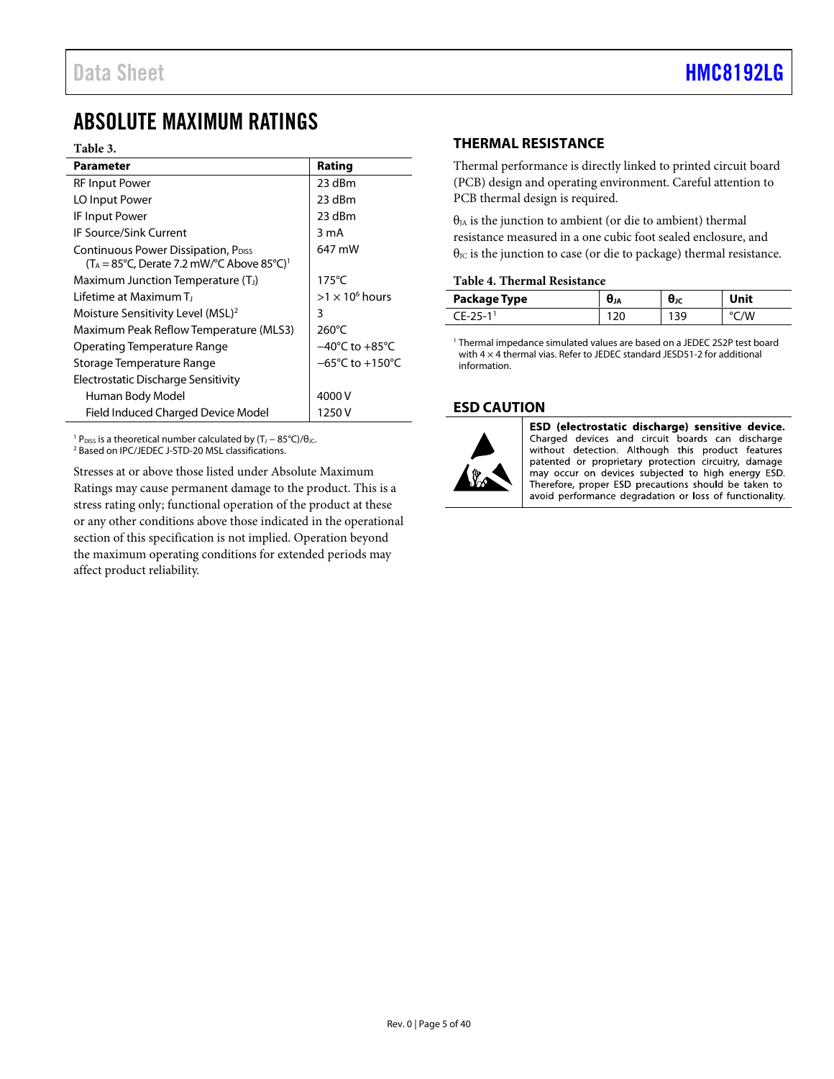### <span id="page-4-0"></span>ABSOLUTE MAXIMUM RATINGS

#### **Table 3.**

| Parameter                                                                                                                               | Rating                              |
|-----------------------------------------------------------------------------------------------------------------------------------------|-------------------------------------|
| <b>RF Input Power</b>                                                                                                                   | 23 dBm                              |
| LO Input Power                                                                                                                          | 23 dBm                              |
| IF Input Power                                                                                                                          | 23 dBm                              |
| <b>IF Source/Sink Current</b>                                                                                                           | 3 mA                                |
| Continuous Power Dissipation, P <sub>DISS</sub><br>$(T_A = 85^{\circ}C,$ Derate 7.2 mW/ $^{\circ}C$ Above 85 $^{\circ}C$ ) <sup>1</sup> | 647 mW                              |
| Maximum Junction Temperature (T <sub>J</sub> )                                                                                          | $175^{\circ}$ C                     |
| <u>l ifetime at Maximum Ti</u>                                                                                                          | $>1 \times 10^6$ hours              |
| Moisture Sensitivity Level (MSL) <sup>2</sup>                                                                                           | 3                                   |
| Maximum Peak Reflow Temperature (MLS3)                                                                                                  | $260^{\circ}$ C                     |
| Operating Temperature Range                                                                                                             | $-40^{\circ}$ C to $+85^{\circ}$ C  |
| Storage Temperature Range                                                                                                               | $-65^{\circ}$ C to $+150^{\circ}$ C |
| Electrostatic Discharge Sensitivity                                                                                                     |                                     |
| Human Body Model                                                                                                                        | 4000 V                              |
| Field Induced Charged Device Model                                                                                                      | 1250 V                              |

<sup>1</sup> P<sub>DISS</sub> is a theoretical number calculated by (T<sub>J</sub> − 85°C)/θ<sub>JC</sub>.<br><sup>2</sup> Based on IPC/IEDEC I-STD-20 MSL classifications

<sup>2</sup> Based on IPC/JEDEC J-STD-20 MSL classifications.

Stresses at or above those listed under Absolute Maximum Ratings may cause permanent damage to the product. This is a stress rating only; functional operation of the product at these or any other conditions above those indicated in the operational section of this specification is not implied. Operation beyond the maximum operating conditions for extended periods may affect product reliability.

#### <span id="page-4-1"></span>**THERMAL RESISTANCE**

Thermal performance is directly linked to printed circuit board (PCB) design and operating environment. Careful attention to PCB thermal design is required.

 $\theta_{IA}$  is the junction to ambient (or die to ambient) thermal resistance measured in a one cubic foot sealed enclosure, and  $θ$ <sub>JC</sub> is the junction to case (or die to package) thermal resistance.

#### **Table 4. Thermal Resistance**

| Package Type  | UJA | Uк | Unit |  |  |  |  |  |
|---------------|-----|----|------|--|--|--|--|--|
| <b>F-25-1</b> |     | 30 | 'W   |  |  |  |  |  |

<sup>1</sup> Thermal impedance simulated values are based on a JEDEC 2S2P test board with 4  $\times$  4 thermal vias. Refer to JEDEC standard JESD51-2 for additional information.

#### <span id="page-4-2"></span>**ESD CAUTION**



ESD (electrostatic discharge) sensitive device. Charged devices and circuit boards can discharge without detection. Although this product features patented or proprietary protection circuitry, damage may occur on devices subjected to high energy ESD. Therefore, proper ESD precautions should be taken to avoid performance degradation or loss of functionality.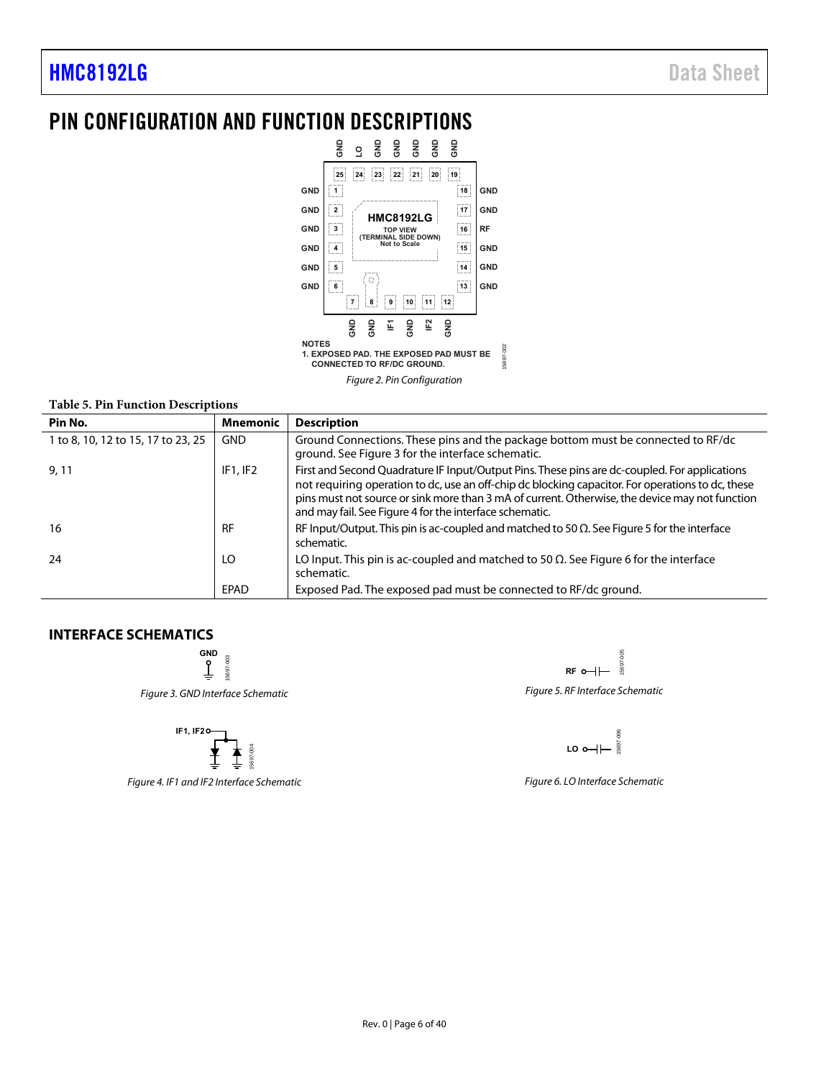### <span id="page-5-0"></span>PIN CONFIGURATION AND FUNCTION DESCRIPTIONS



Figure 2. Pin Configuration

#### **Table 5. Pin Function Descriptions**

| Pin No.                            | Mnemonic   | <b>Description</b>                                                                                                                                                                                                                                                                                                                                              |
|------------------------------------|------------|-----------------------------------------------------------------------------------------------------------------------------------------------------------------------------------------------------------------------------------------------------------------------------------------------------------------------------------------------------------------|
| 1 to 8, 10, 12 to 15, 17 to 23, 25 | <b>GND</b> | Ground Connections. These pins and the package bottom must be connected to RF/dc<br>ground. See Figure 3 for the interface schematic.                                                                                                                                                                                                                           |
| 9,11                               | IF1.IF2    | First and Second Quadrature IF Input/Output Pins. These pins are dc-coupled. For applications<br>not requiring operation to dc, use an off-chip dc blocking capacitor. For operations to dc, these<br>pins must not source or sink more than 3 mA of current. Otherwise, the device may not function<br>and may fail. See Figure 4 for the interface schematic. |
| 16                                 | <b>RF</b>  | RF Input/Output. This pin is ac-coupled and matched to 50 $\Omega$ . See Figure 5 for the interface<br>schematic.                                                                                                                                                                                                                                               |
| 24                                 | LO         | LO Input. This pin is ac-coupled and matched to 50 $\Omega$ . See Figure 6 for the interface<br>schematic.                                                                                                                                                                                                                                                      |
|                                    | EPAD       | Exposed Pad. The exposed pad must be connected to RF/dc ground.                                                                                                                                                                                                                                                                                                 |

#### <span id="page-5-2"></span><span id="page-5-1"></span>**INTERFACE SCHEMATICS**

**GND** 15697-003 15697-003 Figure 3. GND Interface Schematic

IF1, IF20\n
$$
\begin{array}{c}\n\uparrow \\
\uparrow \\
\downarrow \\
\downarrow\n\end{array}
$$

<span id="page-5-3"></span>Figure 4. IF1 and IF2 Interface Schematic

<span id="page-5-4"></span> $005$ 15697-005 15697 **RF** Figure 5. RF Interface Schematic

LO<sub>o</sub>-15697-006

<span id="page-5-5"></span>Figure 6. LO Interface Schematic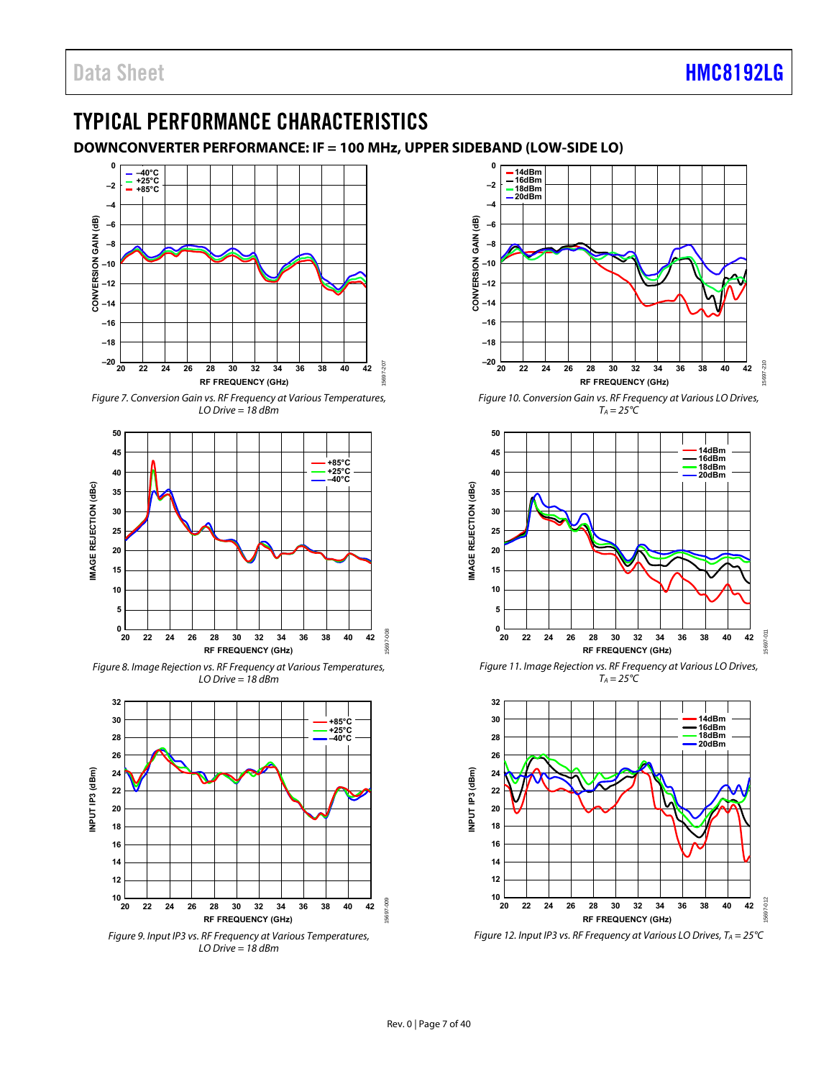## <span id="page-6-0"></span>TYPICAL PERFORMANCE CHARACTERISTICS

<span id="page-6-1"></span>**DOWNCONVERTER PERFORMANCE: IF = 100 MHz, UPPER SIDEBAND (LOW-SIDE LO)** 

15697-207



Figure 7. Conversion Gain vs. RF Frequency at Various Temperatures, LO Drive  $= 18$  dBm



Figure 8. Image Rejection vs. RF Frequency at Various Temperatures, LO Drive = 18 dBm





Figure 10. Conversion Gain vs. RF Frequency at Various LO Drives,  $T_A = 25^{\circ}C$ 



Figure 11. Image Rejection vs. RF Frequency at Various LO Drives,  $T_A = 25^{\circ}C$ 



Figure 12. Input IP3 vs. RF Frequency at Various LO Drives,  $T_A = 25^{\circ}C$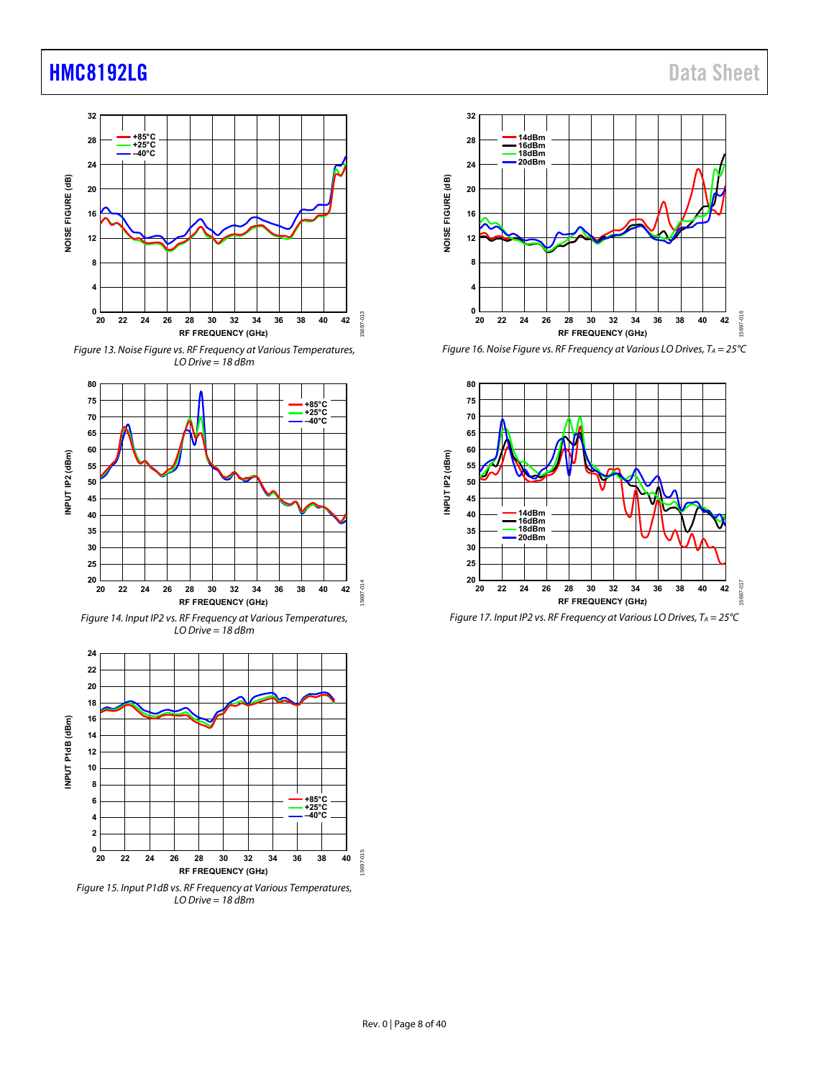

Figure 13. Noise Figure vs. RF Frequency at Various Temperatures, LO Drive = 18 dBm



Figure 14. Input IP2 vs. RF Frequency at Various Temperatures,  $LO$  Drive = 18 dBm





Figure 16. Noise Figure vs. RF Frequency at Various LO Drives,  $T_A = 25^{\circ}C$ 



Figure 17. Input IP2 vs. RF Frequency at Various LO Drives,  $T_A = 25^{\circ}C$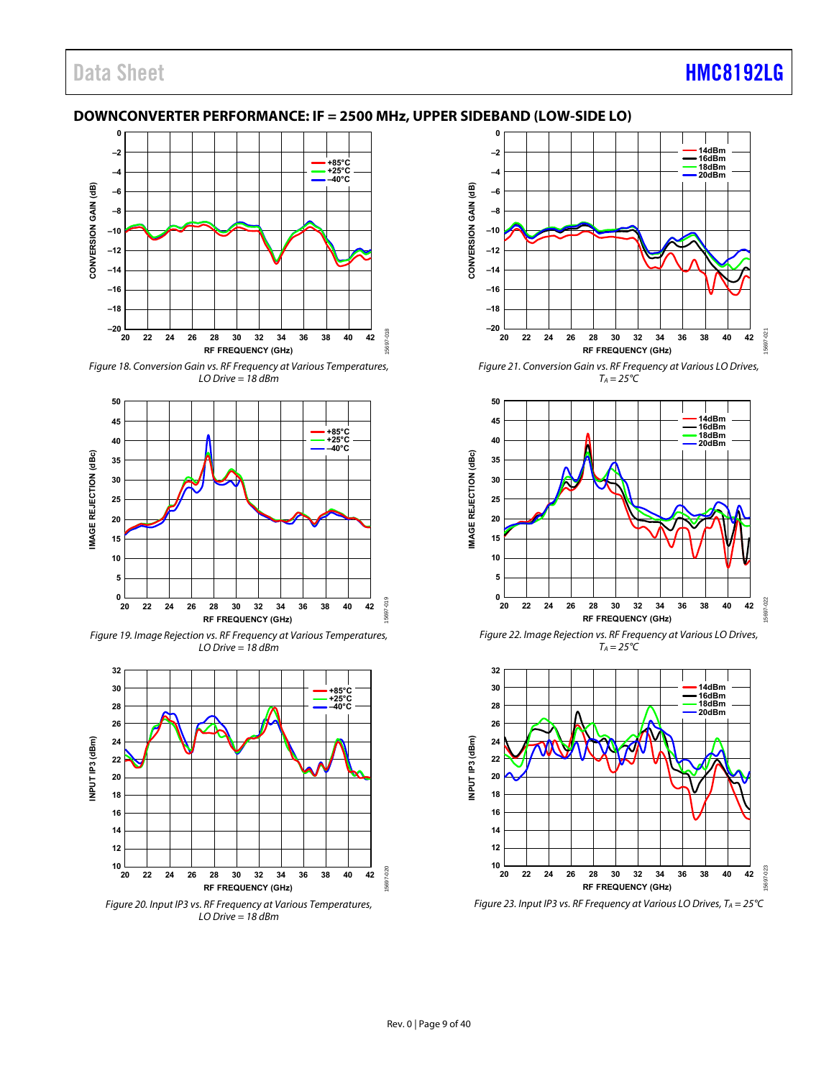## Data Sheet **[HMC8192LG](http://www.analog.com/HMC8192?doc=HMC8192LG.pdf)**

#### <span id="page-8-0"></span>**DOWNCONVERTER PERFORMANCE: IF = 2500 MHz, UPPER SIDEBAND (LOW-SIDE LO)**



Figure 18. Conversion Gain vs. RF Frequency at Various Temperatures,  $LO$  Drive = 18 dBm



Figure 19. Image Rejection vs. RF Frequency at Various Temperatures,  $LO$  Drive = 18 dBm



LO Drive = 18 dBm



Figure 21. Conversion Gain vs. RF Frequency at Various LO Drives,  $T_A = 25^{\circ}C$ 



Figure 22. Image Rejection vs. RF Frequency at Various LO Drives,  $T_A = 25^{\circ}C$ 



Figure 23. Input IP3 vs. RF Frequency at Various LO Drives,  $T_A = 25^{\circ}C$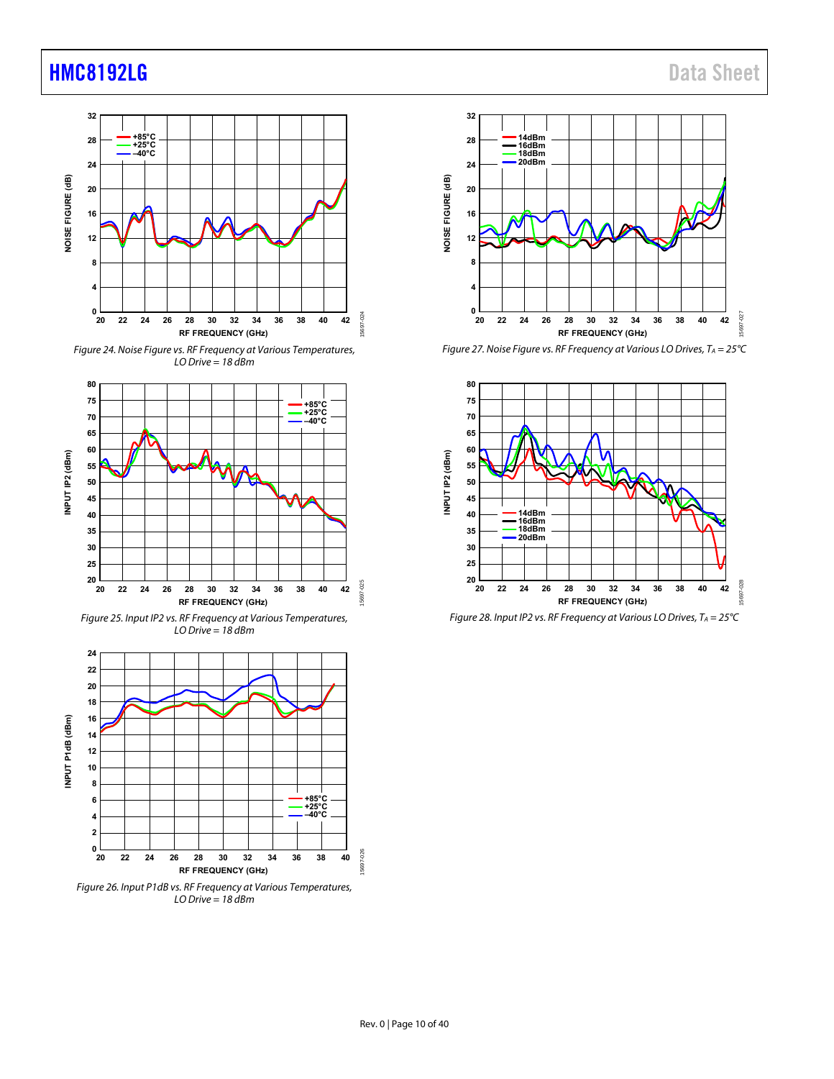

Figure 24. Noise Figure vs. RF Frequency at Various Temperatures, LO Drive = 18 dBm



Figure 25. Input IP2 vs. RF Frequency at Various Temperatures,  $LO$  Drive = 18 dBm







Figure 27. Noise Figure vs. RF Frequency at Various LO Drives,  $T_A = 25^{\circ}C$ 



Figure 28. Input IP2 vs. RF Frequency at Various LO Drives,  $T_A = 25^{\circ}C$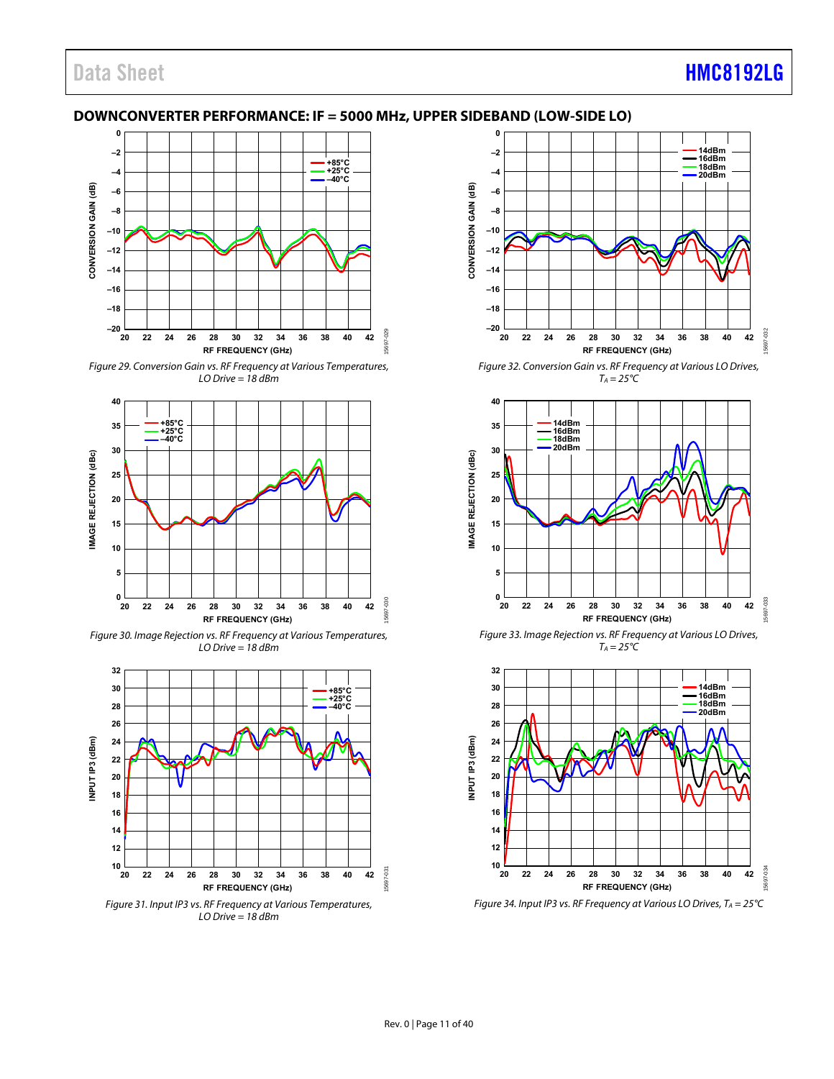#### <span id="page-10-0"></span>**DOWNCONVERTER PERFORMANCE: IF = 5000 MHz, UPPER SIDEBAND (LOW-SIDE LO)**



Figure 29. Conversion Gain vs. RF Frequency at Various Temperatures,  $LO$  Drive = 18 dBm



Figure 30. Image Rejection vs. RF Frequency at Various Temperatures,  $LO$  Drive = 18 dBm



LO Drive = 18 dBm



Figure 32. Conversion Gain vs. RF Frequency at Various LO Drives,  $T_A = 25^{\circ}C$ 



Figure 33. Image Rejection vs. RF Frequency at Various LO Drives,  $T_A = 25^{\circ}C$ 



Figure 34. Input IP3 vs. RF Frequency at Various LO Drives,  $T_A = 25^{\circ}C$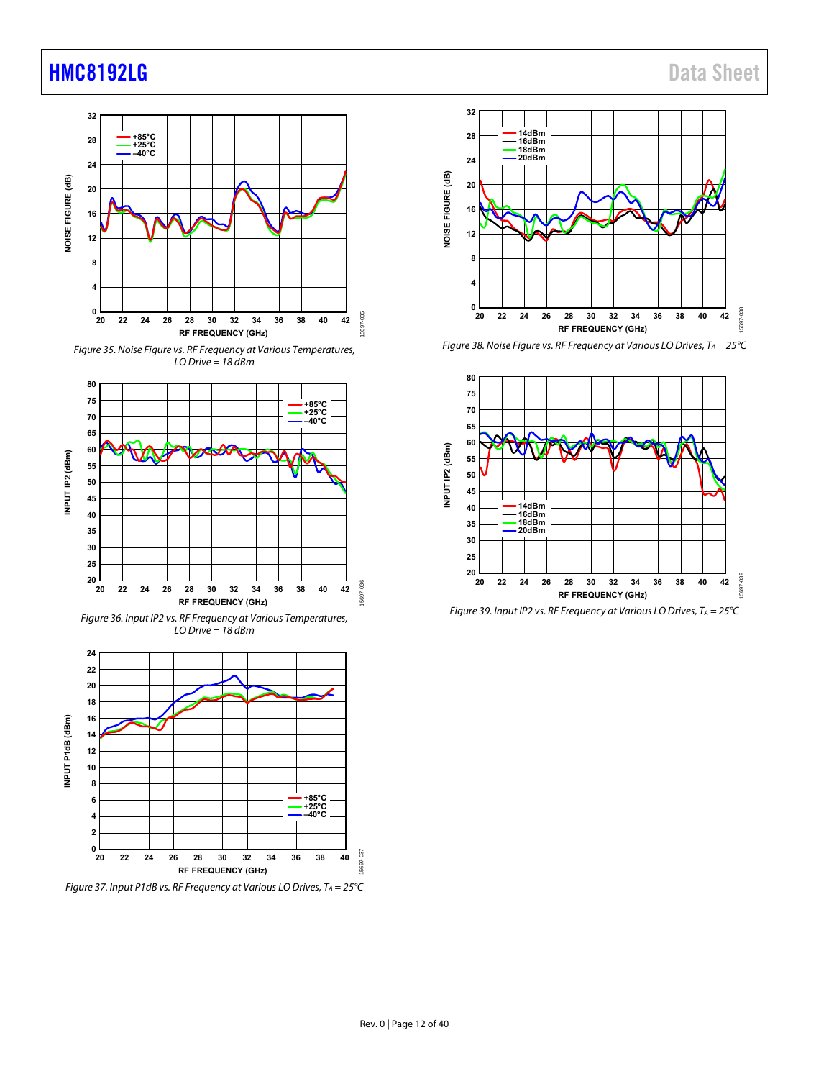

Figure 35. Noise Figure vs. RF Frequency at Various Temperatures, LO Drive = 18 dBm



Figure 36. Input IP2 vs. RF Frequency at Various Temperatures,  $LO$  Drive = 18 dBm



Figure 37. Input P1dB vs. RF Frequency at Various LO Drives,  $T_A = 25^{\circ}C$ 



Figure 38. Noise Figure vs. RF Frequency at Various LO Drives,  $T_A = 25^{\circ}C$ 



Figure 39. Input IP2 vs. RF Frequency at Various LO Drives,  $T_A = 25^{\circ}C$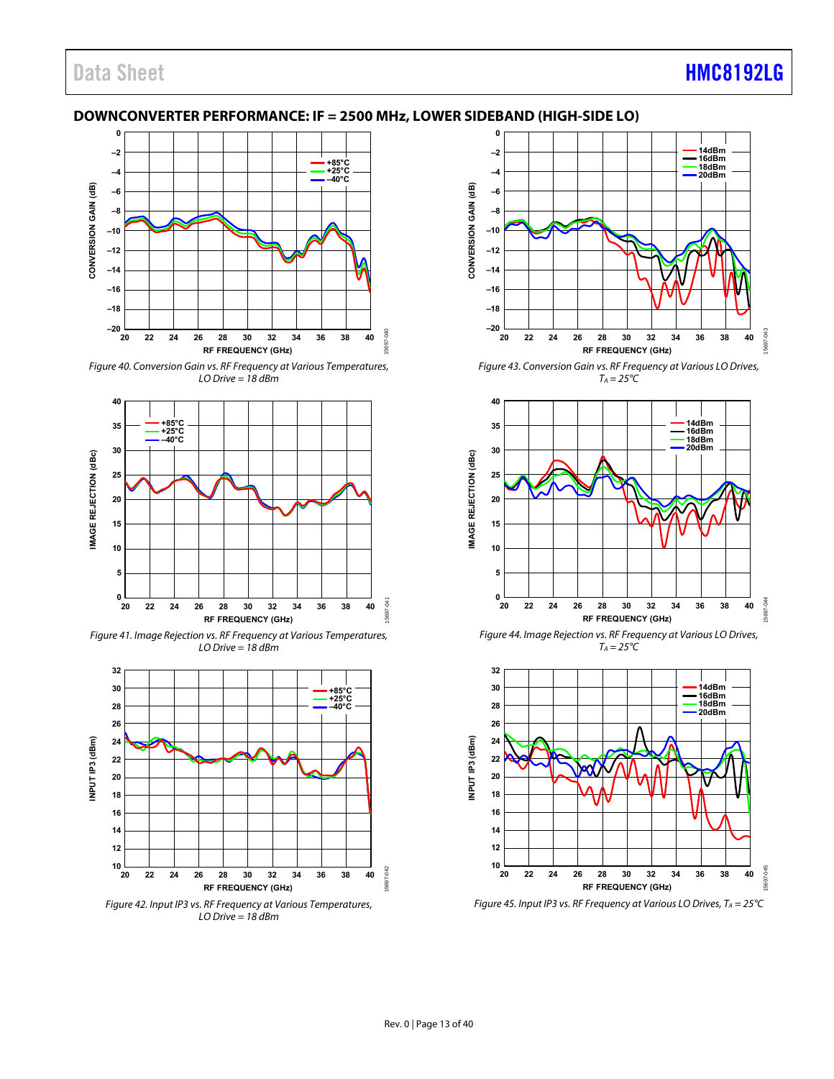## Data Sheet **[HMC8192LG](http://www.analog.com/HMC8192?doc=HMC8192LG.pdf)**

#### <span id="page-12-0"></span>**DOWNCONVERTER PERFORMANCE: IF = 2500 MHz, LOWER SIDEBAND (HIGH-SIDE LO)**



Figure 40. Conversion Gain vs. RF Frequency at Various Temperatures,  $LO$  Drive = 18 dBm



Figure 41. Image Rejection vs. RF Frequency at Various Temperatures,  $LO$  Drive = 18 dBm



Figure 42. Input IP3 vs. RF Frequency at Various Temperatures, LO Drive = 18 dBm



Figure 43. Conversion Gain vs. RF Frequency at Various LO Drives,  $T_A = 25^{\circ}C$ 



Figure 44. Image Rejection vs. RF Frequency at Various LO Drives,  $T_A = 25^{\circ}C$ 



Figure 45. Input IP3 vs. RF Frequency at Various LO Drives,  $T_A = 25^{\circ}C$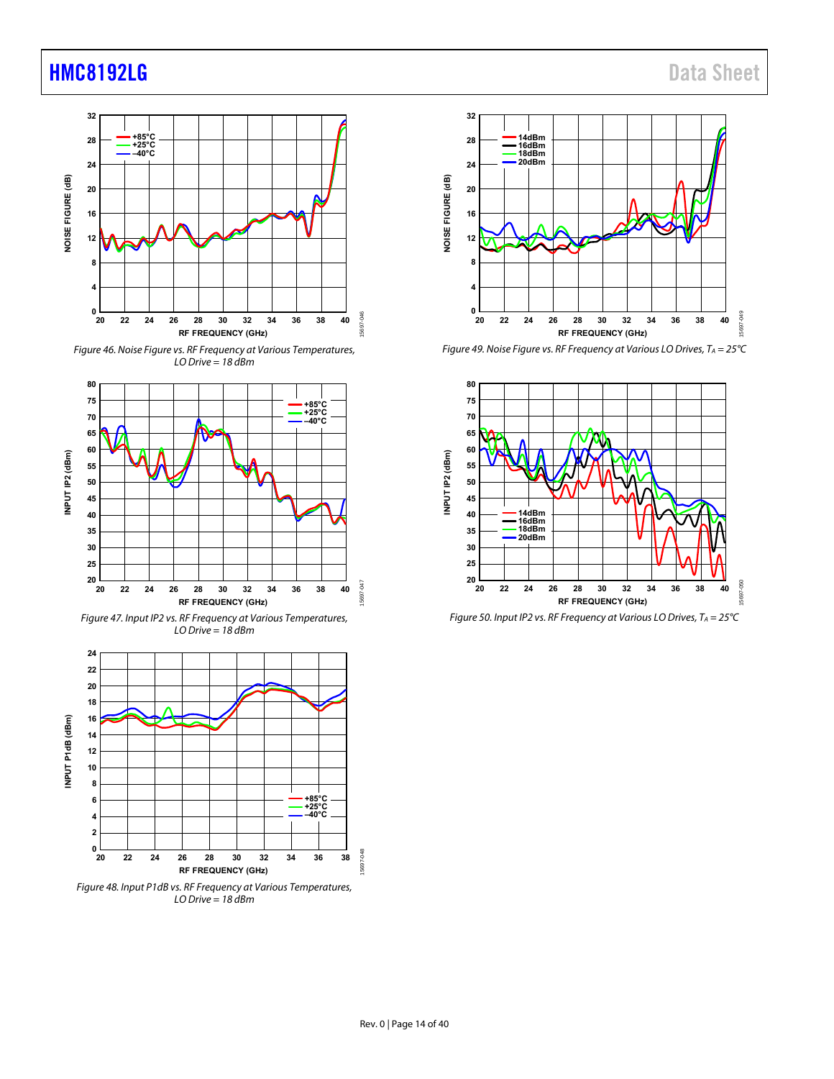













Figure 49. Noise Figure vs. RF Frequency at Various LO Drives,  $T_A = 25^{\circ}C$ 



Figure 50. Input IP2 vs. RF Frequency at Various LO Drives,  $T_A = 25^{\circ}C$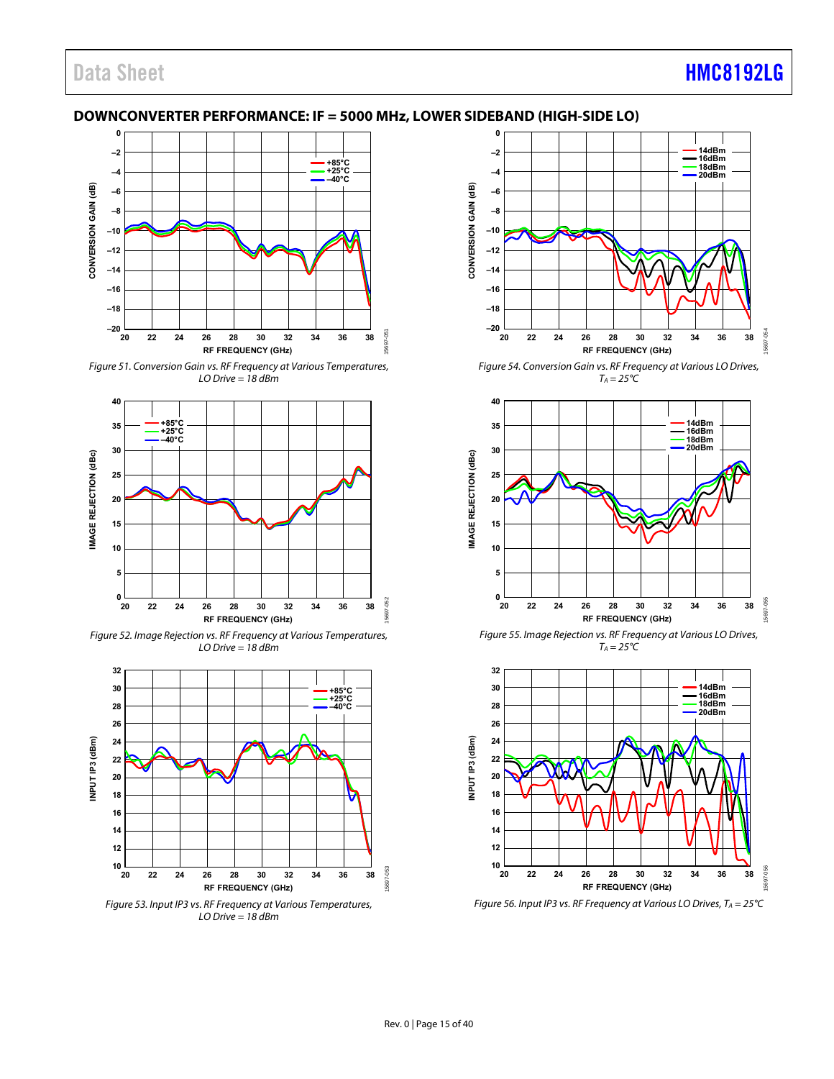#### <span id="page-14-0"></span>**DOWNCONVERTER PERFORMANCE: IF = 5000 MHz, LOWER SIDEBAND (HIGH-SIDE LO)**



Figure 51. Conversion Gain vs. RF Frequency at Various Temperatures,  $LO$  Drive = 18 dBm



Figure 52. Image Rejection vs. RF Frequency at Various Temperatures,  $LO$  Drive = 18 dBm



Figure 53. Input IP3 vs. RF Frequency at Various Temperatures, LO Drive = 18 dBm



Figure 54. Conversion Gain vs. RF Frequency at Various LO Drives,  $T_A = 25^{\circ}C$ 



Figure 55. Image Rejection vs. RF Frequency at Various LO Drives,  $T_A = 25^{\circ}C$ 



Figure 56. Input IP3 vs. RF Frequency at Various LO Drives,  $T_A = 25^{\circ}C$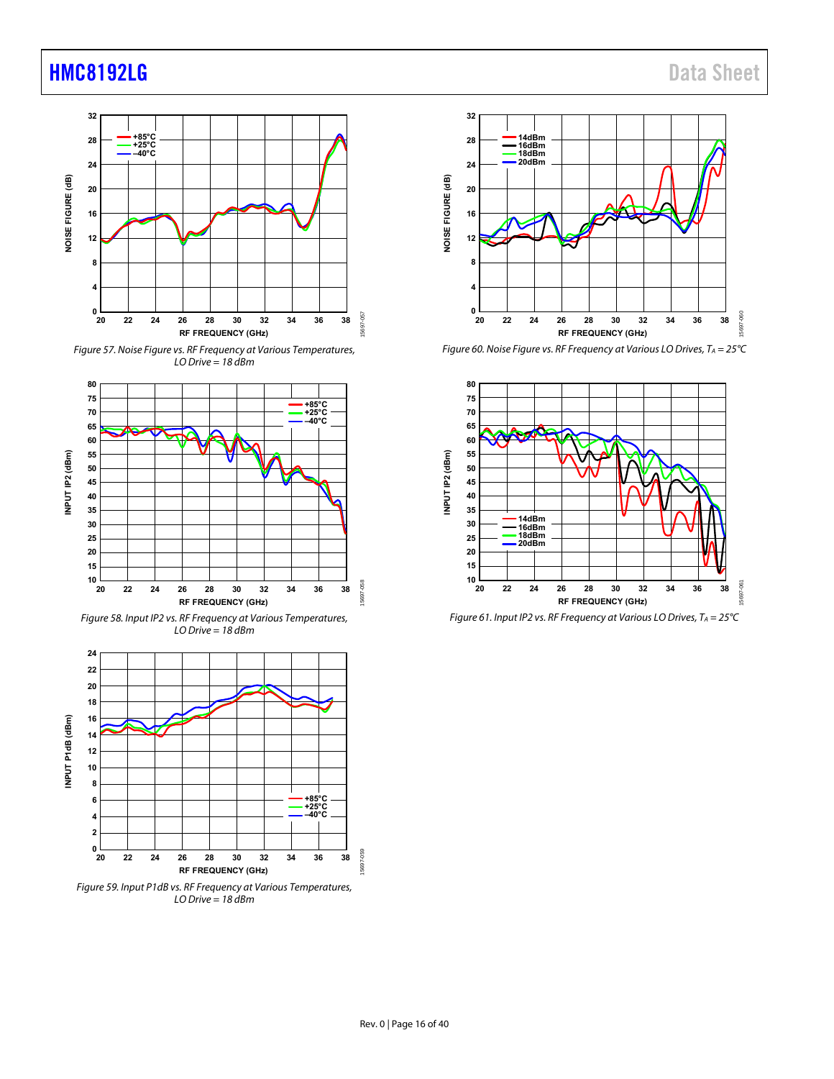

Figure 57. Noise Figure vs. RF Frequency at Various Temperatures, LO Drive = 18 dBm



Figure 58. Input IP2 vs. RF Frequency at Various Temperatures,  $LO$  Drive = 18 dBm



 $LO$  Drive = 18 dBm



Figure 60. Noise Figure vs. RF Frequency at Various LO Drives,  $T_A = 25^{\circ}C$ 



Figure 61. Input IP2 vs. RF Frequency at Various LO Drives,  $T_A = 25^{\circ}C$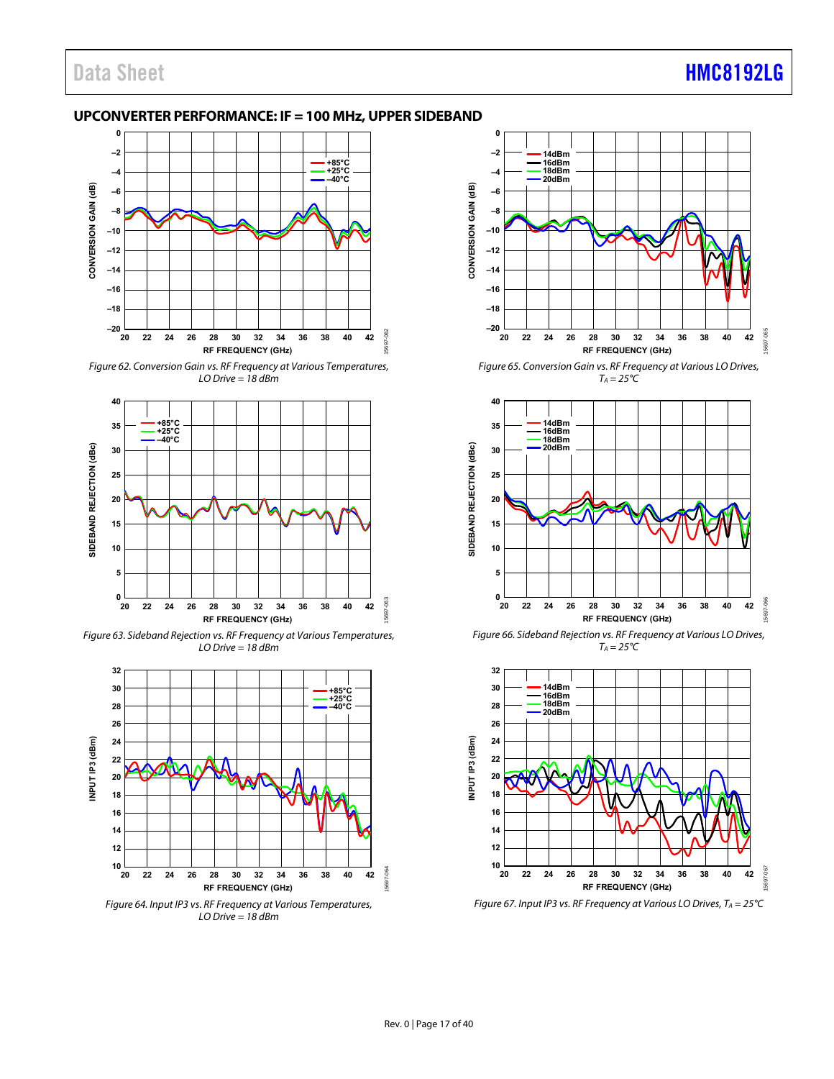#### <span id="page-16-0"></span>**UPCONVERTER PERFORMANCE: IF = 100 MHz, UPPER SIDEBAND**



Figure 62. Conversion Gain vs. RF Frequency at Various Temperatures,  $LO$  Drive = 18 dBm



Figure 63. Sideband Rejection vs. RF Frequency at Various Temperatures, LO Drive = 18 dBm



LO Drive = 18 dBm



Figure 65. Conversion Gain vs. RF Frequency at Various LO Drives,  $T_A = 25^{\circ}C$ 



Figure 66. Sideband Rejection vs. RF Frequency at Various LO Drives,  $T_A = 25^{\circ}C$ 



Figure 67. Input IP3 vs. RF Frequency at Various LO Drives,  $T_A = 25^{\circ}C$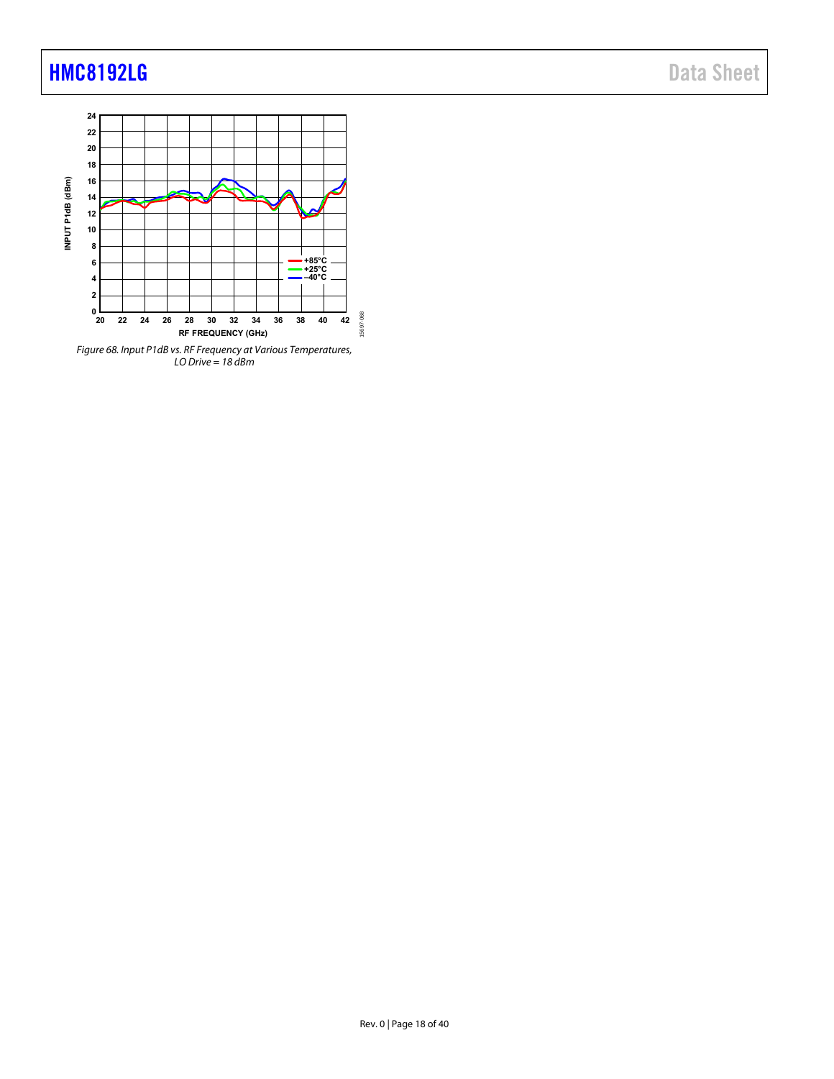

LO Drive = 18 dBm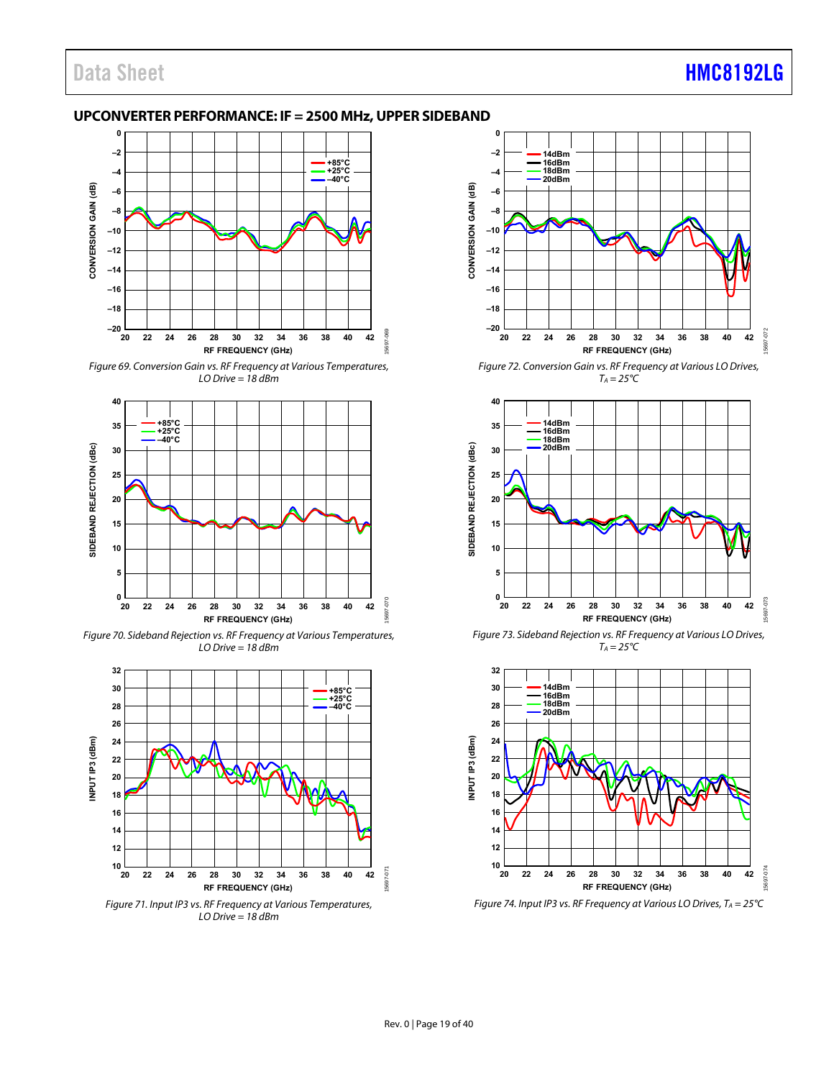#### <span id="page-18-0"></span>**UPCONVERTER PERFORMANCE: IF = 2500 MHz, UPPER SIDEBAND**



Figure 69. Conversion Gain vs. RF Frequency at Various Temperatures,  $LO$  Drive = 18 dBm



Figure 70. Sideband Rejection vs. RF Frequency at Various Temperatures, LO Drive = 18 dBm



Figure 71. Input IP3 vs. RF Frequency at Various Temperatures, LO Drive = 18 dBm



Figure 72. Conversion Gain vs. RF Frequency at Various LO Drives,  $T_A = 25^{\circ}C$ 



Figure 73. Sideband Rejection vs. RF Frequency at Various LO Drives,  $T_A = 25^{\circ}C$ 



Figure 74. Input IP3 vs. RF Frequency at Various LO Drives,  $T_A = 25^{\circ}C$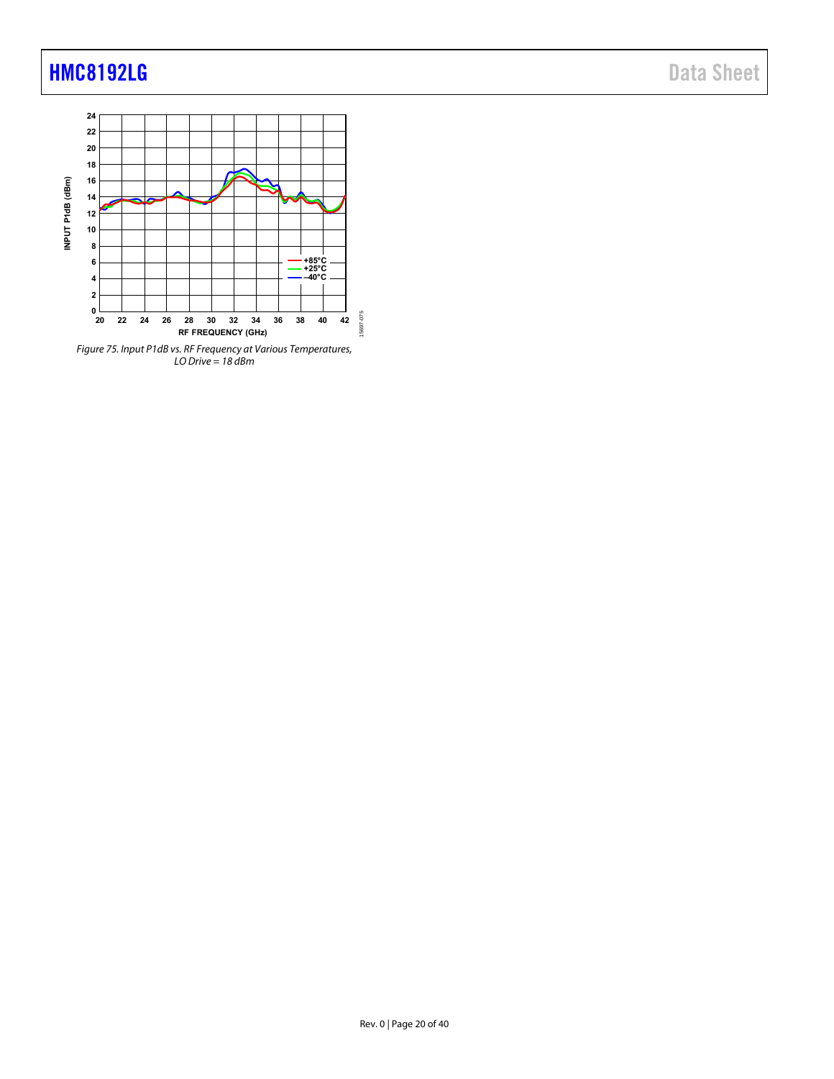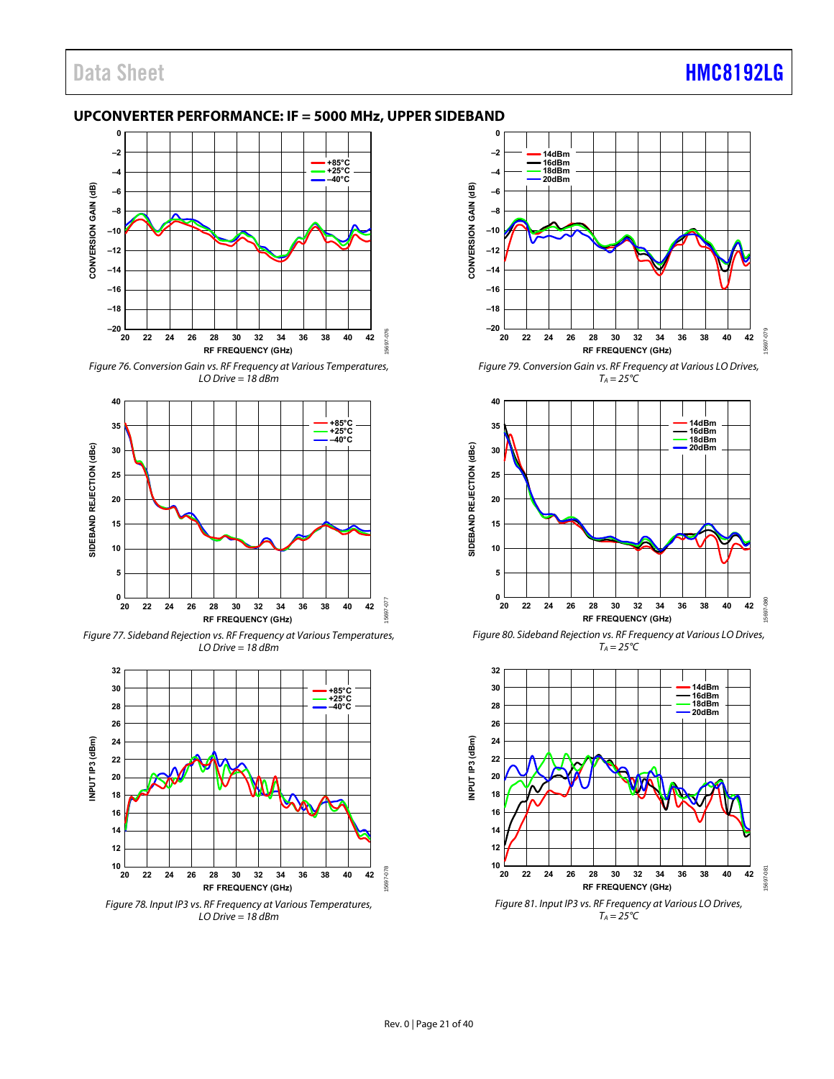#### <span id="page-20-0"></span>**UPCONVERTER PERFORMANCE: IF = 5000 MHz, UPPER SIDEBAND**



Figure 76. Conversion Gain vs. RF Frequency at Various Temperatures,  $LO$  Drive = 18 dBm



Figure 77. Sideband Rejection vs. RF Frequency at Various Temperatures,  $LO$  Drive = 18 dBm





**CONVERSION GAIN (dB)**

CONVERSION GAIN (dB)

**RF FREQUENCY (GHz)** Figure 79. Conversion Gain vs. RF Frequency at Various LO Drives,  $T_A = 25^{\circ}C$ 



Figure 80. Sideband Rejection vs. RF Frequency at Various LO Drives,  $T_A = 25^{\circ}C$ 

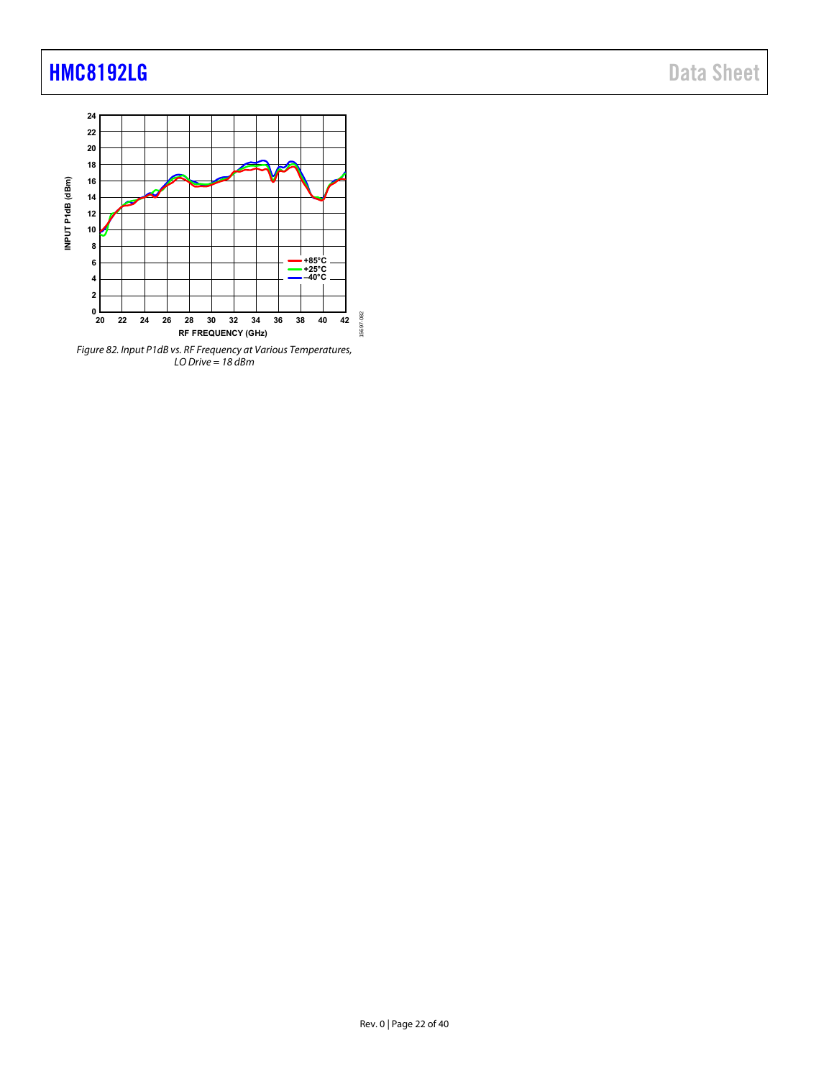

LO Drive = 18 dBm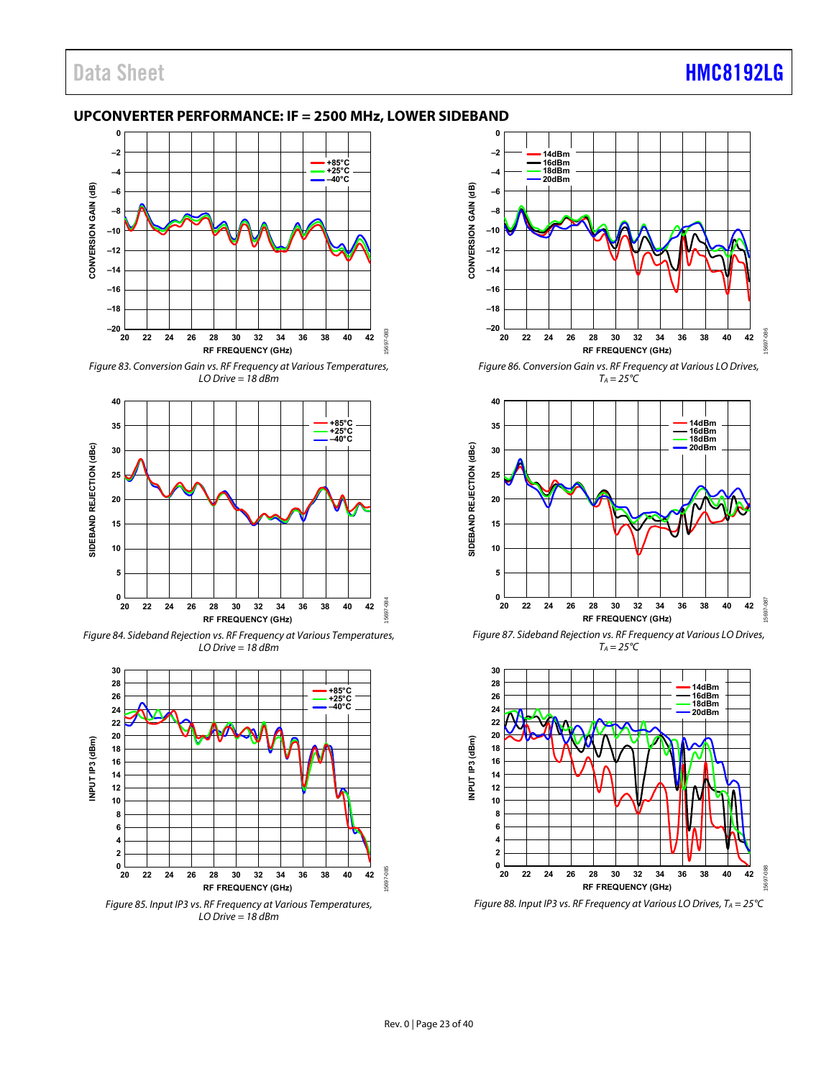#### <span id="page-22-0"></span>**UPCONVERTER PERFORMANCE: IF = 2500 MHz, LOWER SIDEBAND**



Figure 83. Conversion Gain vs. RF Frequency at Various Temperatures,  $LO$  Drive = 18 dBm



Figure 84. Sideband Rejection vs. RF Frequency at Various Temperatures, LO Drive = 18 dBm



Figure 85. Input IP3 vs. RF Frequency at Various Temperatures, LO Drive = 18 dBm



Figure 86. Conversion Gain vs. RF Frequency at Various LO Drives,  $T_A = 25^{\circ}C$ 



Figure 87. Sideband Rejection vs. RF Frequency at Various LO Drives,  $T_A = 25^{\circ}C$ 



Figure 88. Input IP3 vs. RF Frequency at Various LO Drives,  $T_A = 25^{\circ}C$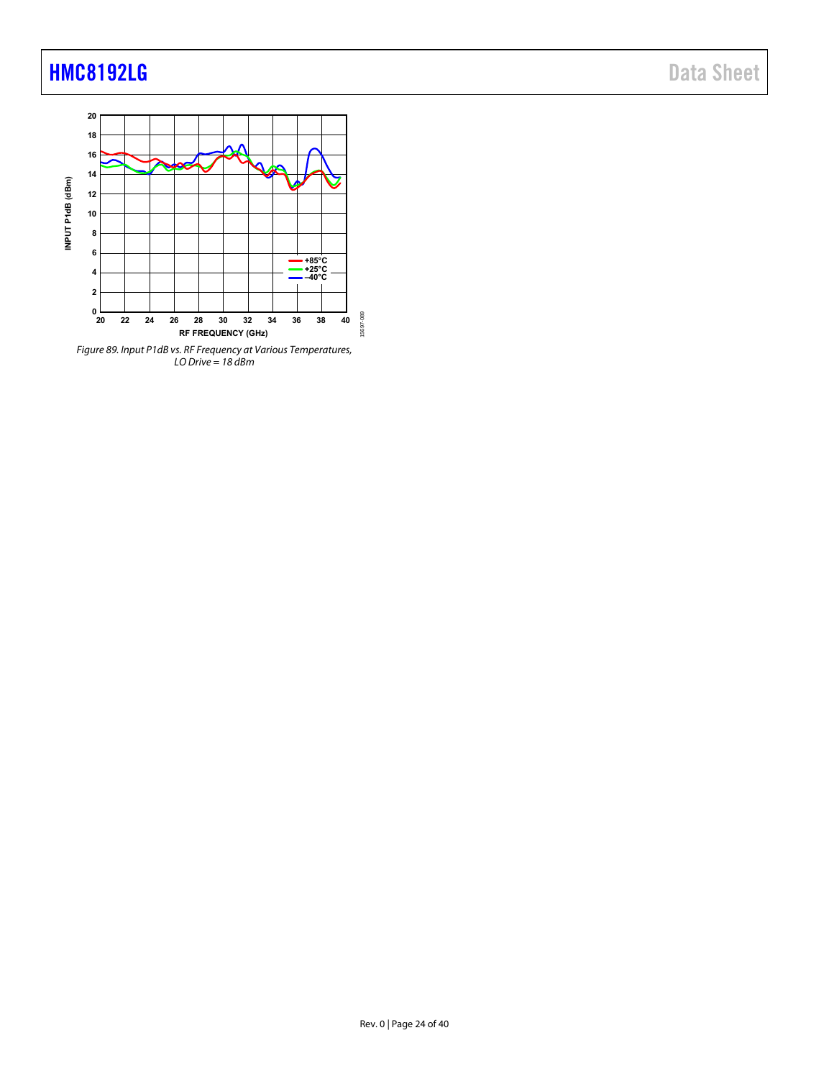

LO Drive = 18 dBm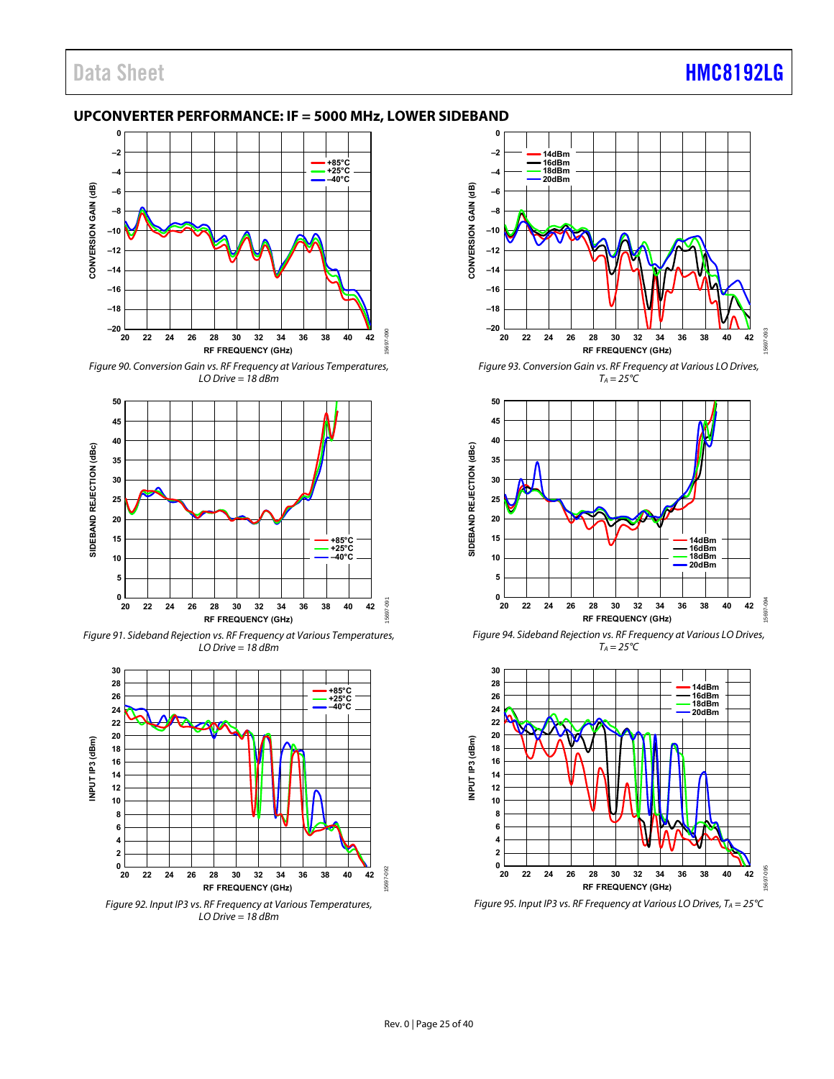#### <span id="page-24-0"></span>**UPCONVERTER PERFORMANCE: IF = 5000 MHz, LOWER SIDEBAND**



Figure 90. Conversion Gain vs. RF Frequency at Various Temperatures,  $LO$  Drive = 18 dBm



Figure 91. Sideband Rejection vs. RF Frequency at Various Temperatures,  $LO$  Drive = 18 dBm



Figure 92. Input IP3 vs. RF Frequency at Various Temperatures, LO Drive = 18 dBm



Figure 93. Conversion Gain vs. RF Frequency at Various LO Drives,  $T_A = 25^{\circ}C$ 



Figure 94. Sideband Rejection vs. RF Frequency at Various LO Drives,  $T_A = 25^{\circ}C$ 



Figure 95. Input IP3 vs. RF Frequency at Various LO Drives,  $T_A = 25^{\circ}C$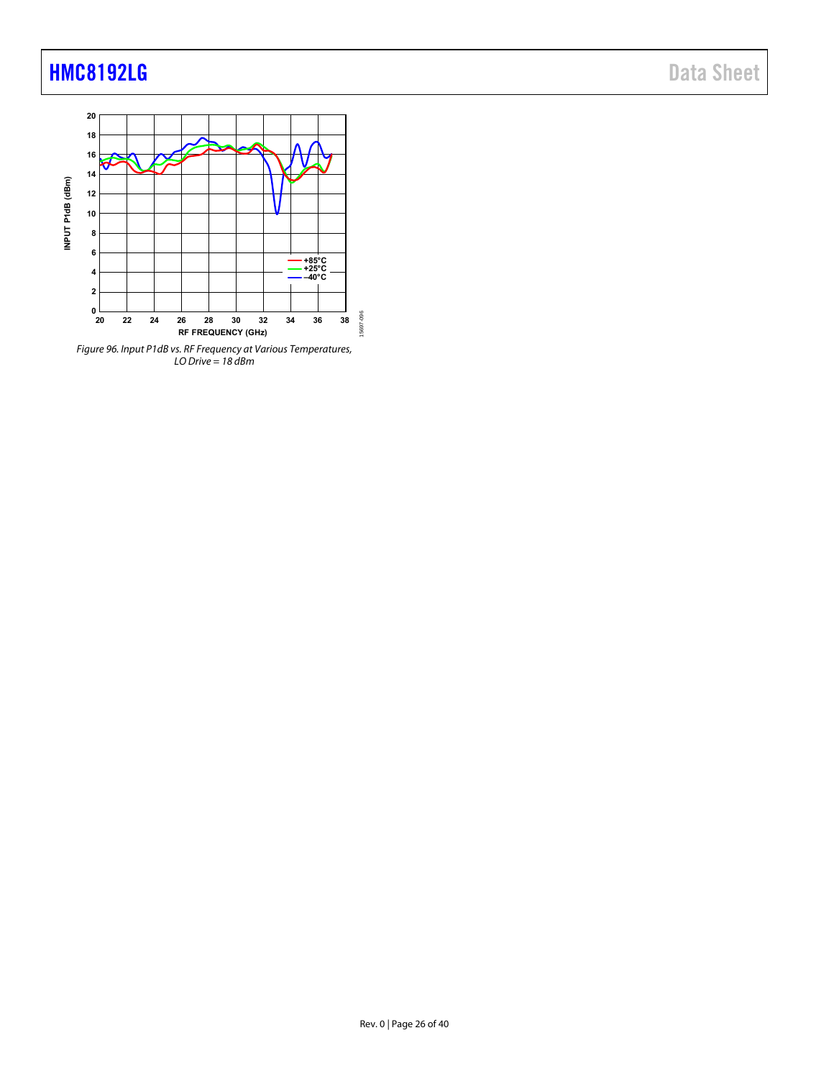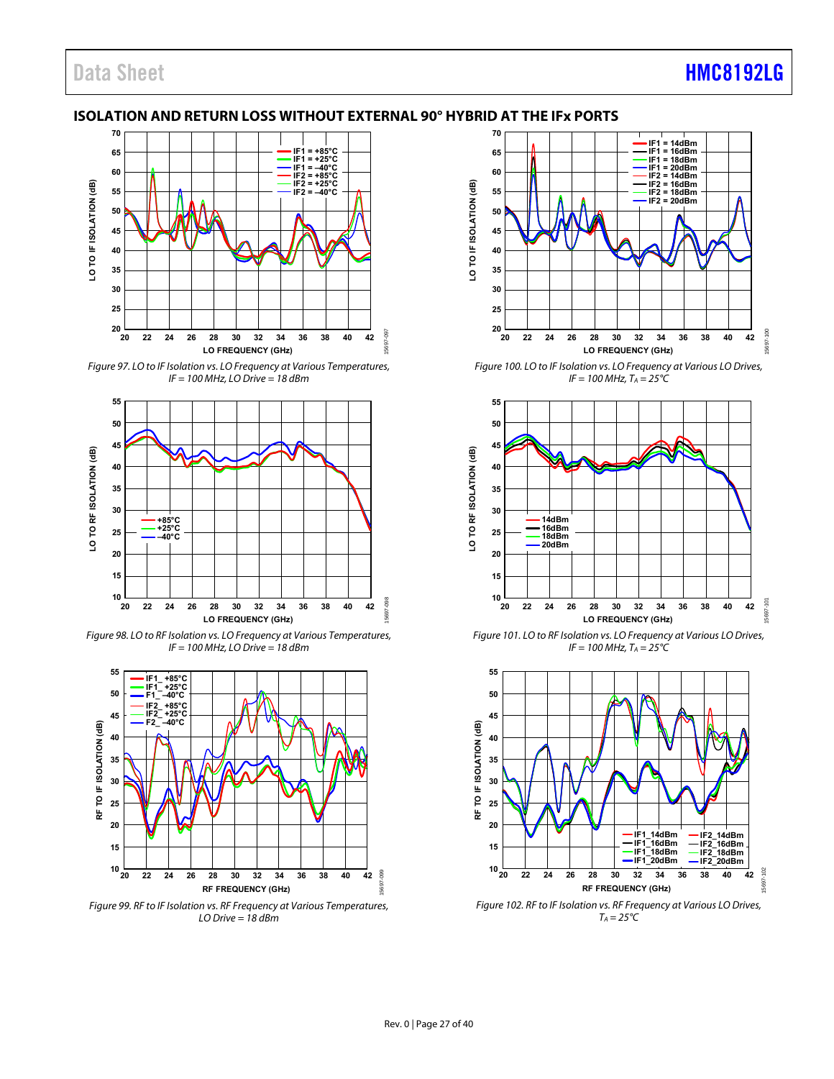### Data Sheet **[HMC8192LG](http://www.analog.com/HMC8192?doc=HMC8192LG.pdf)**

#### <span id="page-26-0"></span>**ISOLATION AND RETURN LOSS WITHOUT EXTERNAL 90° HYBRID AT THE IFx PORTS**



Figure 97. LO to IF Isolation vs. LO Frequency at Various Temperatures,  $IF = 100 MHz$ , LO Drive = 18 dBm



Figure 98. LO to RF Isolation vs. LO Frequency at Various Temperatures,  $IF = 100 MHz$ , LO Drive = 18 dBm



Figure 99. RF to IF Isolation vs. RF Frequency at Various Temperatures,  $LO$  Drive = 18 dBm



Figure 100. LO to IF Isolation vs. LO Frequency at Various LO Drives,  $IF = 100 MHz, T_A = 25^{\circ}C$ 



Figure 101. LO to RF Isolation vs. LO Frequency at Various LO Drives,  $IF = 100 MHz, T_A = 25^{\circ}C$ 



Figure 102. RF to IF Isolation vs. RF Frequency at Various LO Drives,  $T_A = 25^{\circ}C$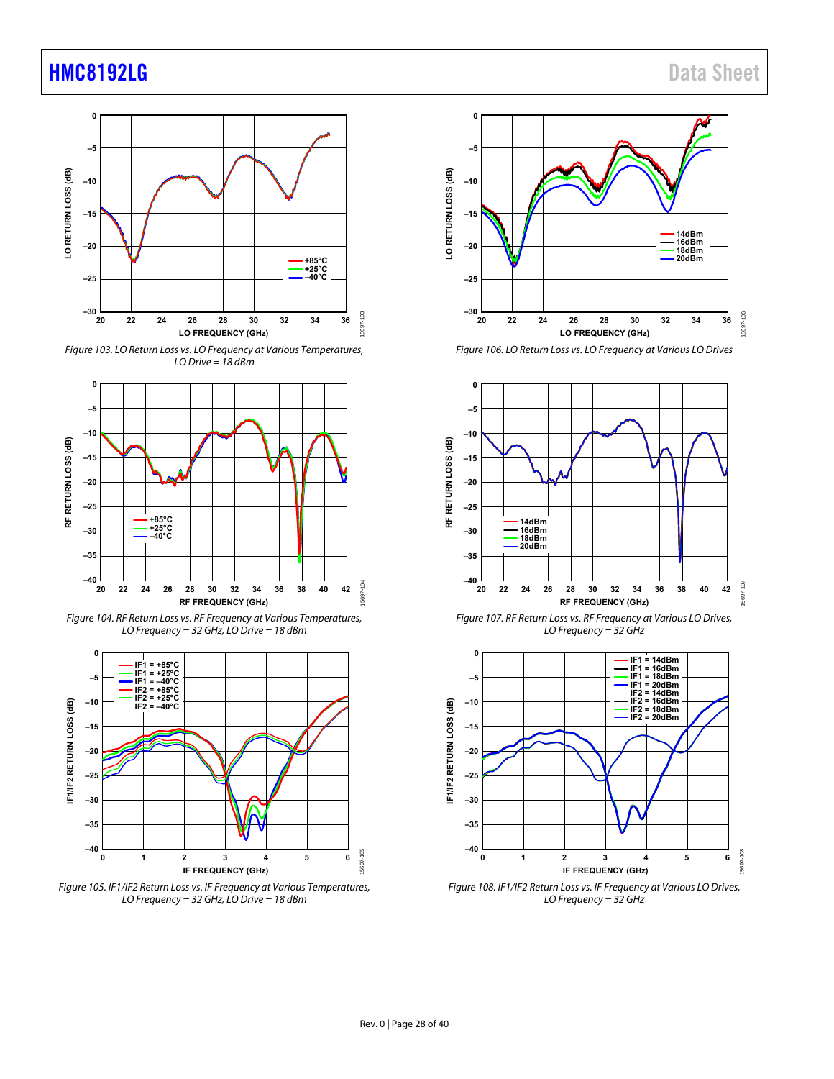

Figure 103. LO Return Loss vs. LO Frequency at Various Temperatures, LO Drive = 18 dBm



Figure 104. RF Return Loss vs. RF Frequency at Various Temperatures, LO Frequency = 32 GHz, LO Drive = 18 dBm







Figure 106. LO Return Loss vs. LO Frequency at Various LO Drives



Figure 107. RF Return Loss vs. RF Frequency at Various LO Drives, LO Frequency = 32 GHz



Figure 108. IF1/IF2 Return Loss vs. IF Frequency at Various LO Drives, LO Frequency =  $32$  GHz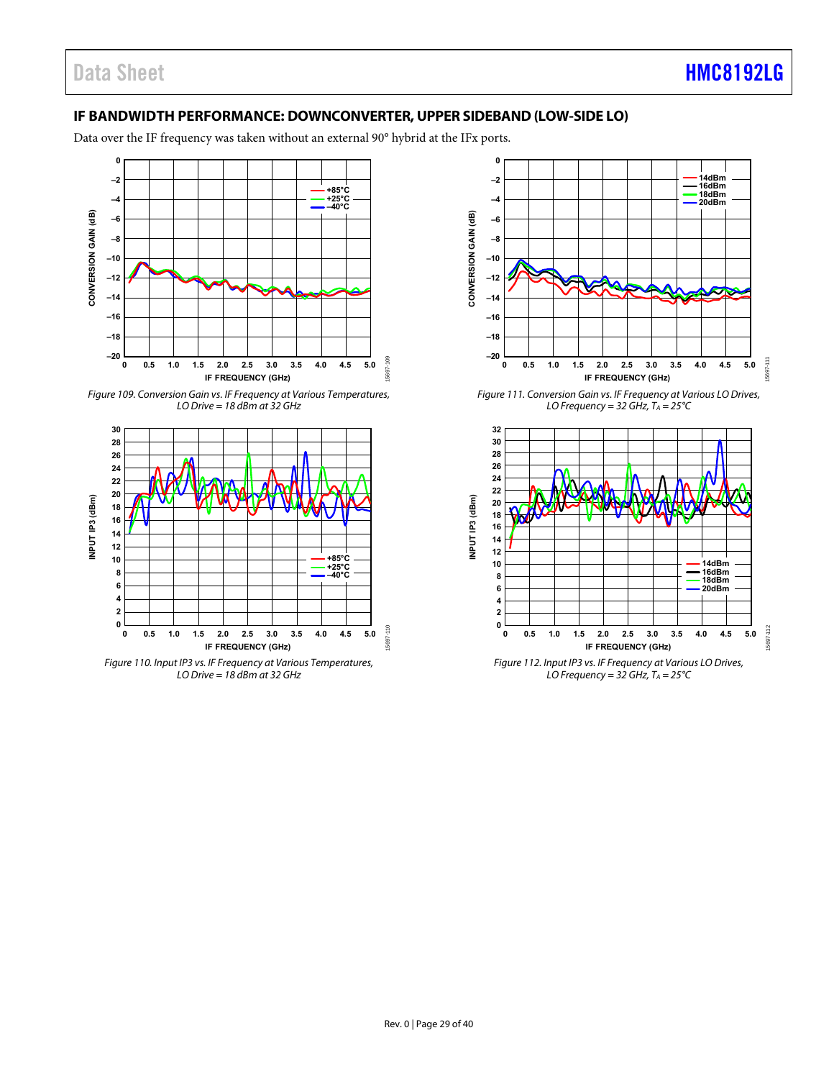#### <span id="page-28-0"></span>**IF BANDWIDTH PERFORMANCE: DOWNCONVERTER, UPPER SIDEBAND (LOW-SIDE LO)**

Data over the IF frequency was taken without an external 90° hybrid at the IFx ports.



Figure 109. Conversion Gain vs. IF Frequency at Various Temperatures, LO Drive =  $18$  dBm at  $32$  GHz



LO Drive =  $18$  dBm at 32 GHz



Figure 111. Conversion Gain vs. IF Frequency at Various LO Drives, LO Frequency = 32 GHz,  $T_A = 25^{\circ}C$ 



LO Frequency = 32 GHz,  $T_A = 25^{\circ}C$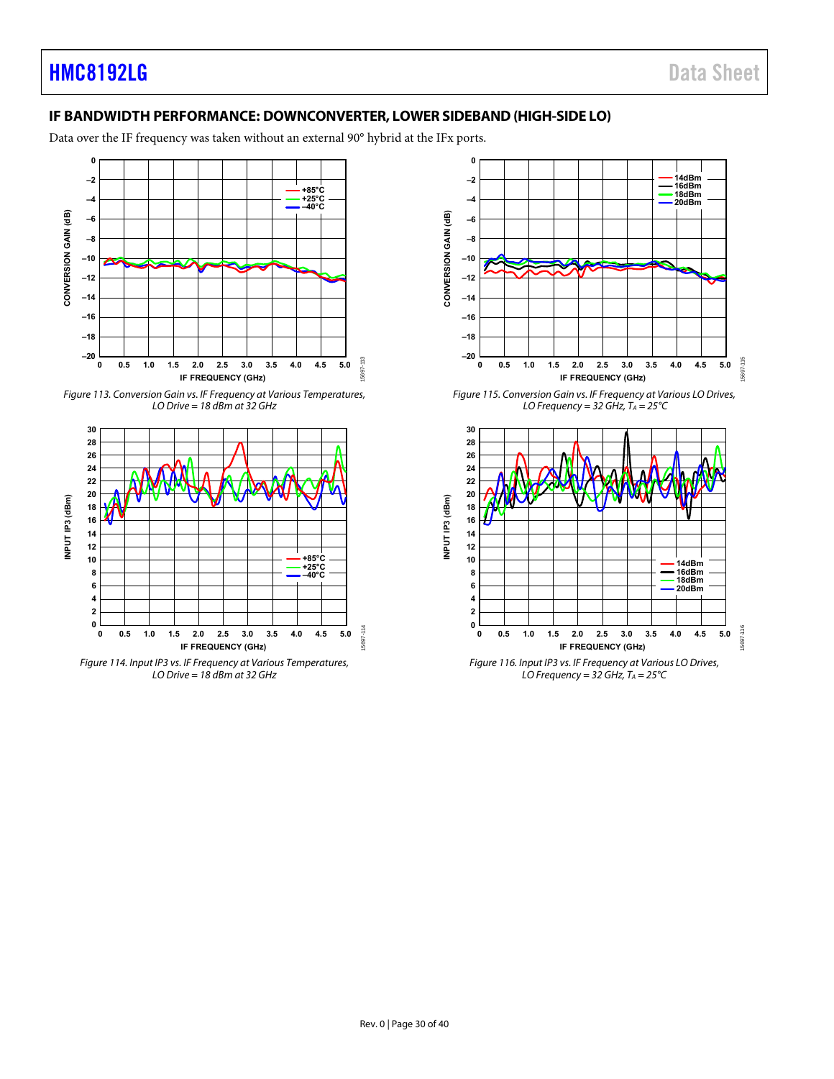### <span id="page-29-0"></span>**IF BANDWIDTH PERFORMANCE: DOWNCONVERTER, LOWER SIDEBAND (HIGH-SIDE LO)**

Data over the IF frequency was taken without an external 90° hybrid at the IFx ports.



Figure 113. Conversion Gain vs. IF Frequency at Various Temperatures, LO Drive =  $18$  dBm at  $32$  GHz



LO Drive =  $18$  dBm at 32 GHz



Figure 115. Conversion Gain vs. IF Frequency at Various LO Drives, LO Frequency = 32 GHz,  $T_A = 25^{\circ}C$ 



LO Frequency = 32 GHz,  $T_A = 25^{\circ}C$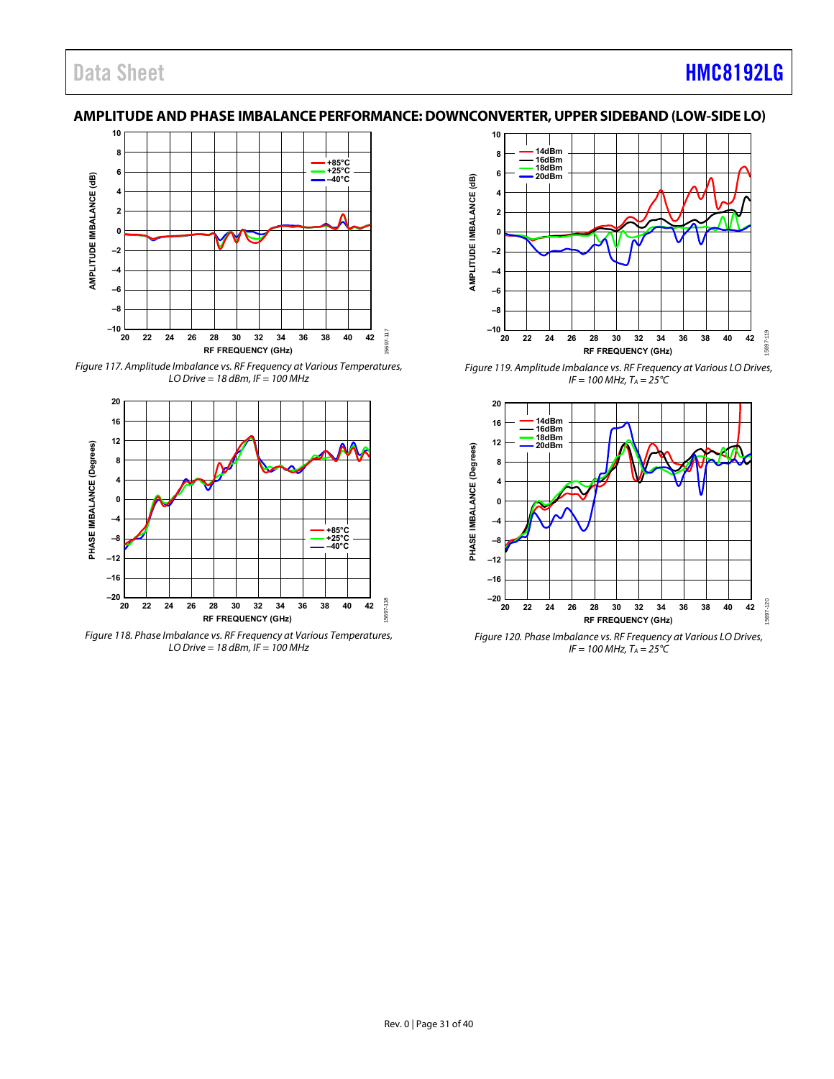### Data Sheet **[HMC8192LG](http://www.analog.com/HMC8192?doc=HMC8192LG.pdf)**

#### <span id="page-30-0"></span>**AMPLITUDE AND PHASE IMBALANCE PERFORMANCE: DOWNCONVERTER, UPPER SIDEBAND (LOW-SIDE LO)**



Figure 117. Amplitude Imbalance vs. RF Frequency at Various Temperatures, LO Drive =  $18$  dBm, IF =  $100$  MHz



Figure 118. Phase Imbalance vs. RF Frequency at Various Temperatures, LO Drive =  $18$  dBm, IF =  $100$  MHz



Figure 119. Amplitude Imbalance vs. RF Frequency at Various LO Drives,  $IF = 100 MHz, T_A = 25°C$ 



Figure 120. Phase Imbalance vs. RF Frequency at Various LO Drives,  $IF = 100 MHz, T_A = 25^{\circ}C$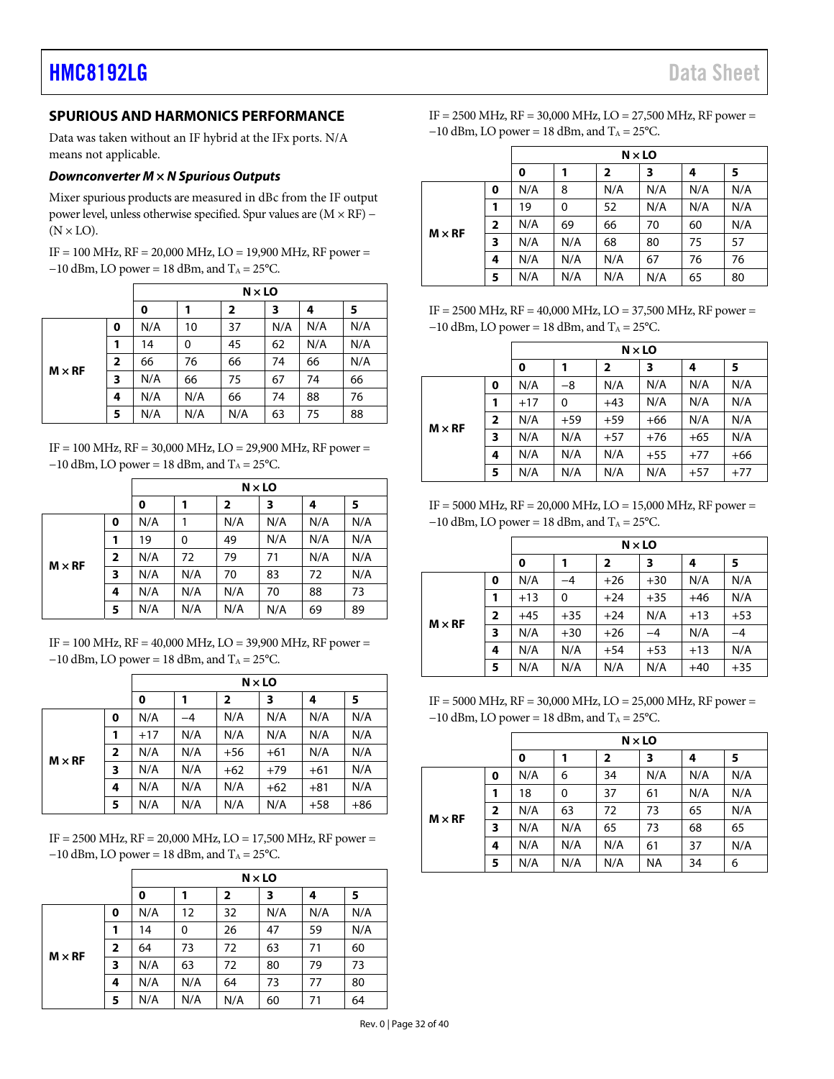#### <span id="page-31-0"></span>**SPURIOUS AND HARMONICS PERFORMANCE**

Data was taken without an IF hybrid at the IFx ports. N/A means not applicable.

#### **Downconverter M × N Spurious Outputs**

Mixer spurious products are measured in dBc from the IF output power level, unless otherwise specified. Spur values are (M × RF) −  $(N \times LO)$ .

IF = 100 MHz, RF = 20,000 MHz, LO = 19,900 MHz, RF power =  $-10$  dBm, LO power = 18 dBm, and T<sub>A</sub> = 25°C.

|               |                         |     | $N \times$ LO |     |     |     |     |  |
|---------------|-------------------------|-----|---------------|-----|-----|-----|-----|--|
|               |                         | 0   |               | 2   | 3   | 4   | 5   |  |
|               | 0                       | N/A | 10            | 37  | N/A | N/A | N/A |  |
| $M \times RF$ | 1                       | 14  | 0             | 45  | 62  | N/A | N/A |  |
|               | $\overline{\mathbf{2}}$ | 66  | 76            | 66  | 74  | 66  | N/A |  |
|               | 3                       | N/A | 66            | 75  | 67  | 74  | 66  |  |
|               | 4                       | N/A | N/A           | 66  | 74  | 88  | 76  |  |
|               | 5                       | N/A | N/A           | N/A | 63  | 75  | 88  |  |

IF = 100 MHz, RF = 30,000 MHz, LO = 29,900 MHz, RF power =  $-10$  dBm, LO power = 18 dBm, and T<sub>A</sub> = 25 °C.

|               |                         |     | $N \times$ LO |                         |     |     |     |  |
|---------------|-------------------------|-----|---------------|-------------------------|-----|-----|-----|--|
|               |                         | 0   | 1             | $\overline{\mathbf{2}}$ | 3   | 4   | 5   |  |
| $M \times RF$ | 0                       | N/A | 1             | N/A                     | N/A | N/A | N/A |  |
|               | 1                       | 19  | 0             | 49                      | N/A | N/A | N/A |  |
|               | $\overline{\mathbf{2}}$ | N/A | 72            | 79                      | 71  | N/A | N/A |  |
|               | 3                       | N/A | N/A           | 70                      | 83  | 72  | N/A |  |
|               | 4                       | N/A | N/A           | N/A                     | 70  | 88  | 73  |  |
|               | 5                       | N/A | N/A           | N/A                     | N/A | 69  | 89  |  |

 $IF = 100 MHz$ ,  $RF = 40,000 MHz$ ,  $LO = 39,900 MHz$ ,  $RF$  power =  $-10$  dBm, LO power = 18 dBm, and T<sub>A</sub> = 25°C.

|               |                | $N \times$ LO |      |                         |       |       |       |  |  |
|---------------|----------------|---------------|------|-------------------------|-------|-------|-------|--|--|
|               |                | 0             | 1    | $\overline{\mathbf{2}}$ | 3     | 4     | 5     |  |  |
|               | 0              | N/A           | $-4$ | N/A                     | N/A   | N/A   | N/A   |  |  |
|               |                | $+17$         | N/A  | N/A                     | N/A   | N/A   | N/A   |  |  |
| $M \times RF$ | $\overline{2}$ | N/A           | N/A  | $+56$                   | $+61$ | N/A   | N/A   |  |  |
|               | 3              | N/A           | N/A  | $+62$                   | $+79$ | $+61$ | N/A   |  |  |
|               | 4              | N/A           | N/A  | N/A                     | $+62$ | $+81$ | N/A   |  |  |
|               | 5              | N/A           | N/A  | N/A                     | N/A   | $+58$ | $+86$ |  |  |

IF = 2500 MHz, RF = 20,000 MHz, LO = 17,500 MHz, RF power =  $-10$  dBm, LO power = 18 dBm, and T<sub>A</sub> = 25°C.

|               |              | $N \times LO$ |     |              |     |     |     |  |
|---------------|--------------|---------------|-----|--------------|-----|-----|-----|--|
|               |              | 0             |     | $\mathbf{2}$ | 3   | 4   | 5   |  |
|               | 0            | N/A           | 12  | 32           | N/A | N/A | N/A |  |
| $M \times RF$ | 1            | 14            | 0   | 26           | 47  | 59  | N/A |  |
|               | $\mathbf{2}$ | 64            | 73  | 72           | 63  | 71  | 60  |  |
|               | 3            | N/A           | 63  | 72           | 80  | 79  | 73  |  |
|               | 4            | N/A           | N/A | 64           | 73  | 77  | 80  |  |
|               | 5            | N/A           | N/A | N/A          | 60  | 71  | 64  |  |

IF = 2500 MHz, RF = 30,000 MHz, LO = 27,500 MHz, RF power =  $-10$  dBm, LO power = 18 dBm, and T<sub>A</sub> = 25°C.

|               |                | $N \times$ LO |     |                         |     |     |     |  |
|---------------|----------------|---------------|-----|-------------------------|-----|-----|-----|--|
|               |                | 0             | 1   | $\overline{\mathbf{2}}$ | 3   | 4   | 5   |  |
| $M \times RF$ | 0              | N/A           | 8   | N/A                     | N/A | N/A | N/A |  |
|               | 1              | 19            | 0   | 52                      | N/A | N/A | N/A |  |
|               | $\overline{2}$ | N/A           | 69  | 66                      | 70  | 60  | N/A |  |
|               | 3              | N/A           | N/A | 68                      | 80  | 75  | 57  |  |
|               | 4              | N/A           | N/A | N/A                     | 67  | 76  | 76  |  |
|               | 5              | N/A           | N/A | N/A                     | N/A | 65  | 80  |  |

IF = 2500 MHz, RF = 40,000 MHz, LO = 37,500 MHz, RF power =  $-10$  dBm, LO power = 18 dBm, and T<sub>A</sub> = 25°C.

|               |                |       |       | $N \times LO$           |       |       |       |
|---------------|----------------|-------|-------|-------------------------|-------|-------|-------|
|               |                | 0     | 1     | $\overline{\mathbf{2}}$ | 3     | 4     | 5     |
| $M \times RF$ | 0              | N/A   | $-8$  | N/A                     | N/A   | N/A   | N/A   |
|               | 1              | $+17$ | 0     | $+43$                   | N/A   | N/A   | N/A   |
|               | $\overline{2}$ | N/A   | $+59$ | $+59$                   | $+66$ | N/A   | N/A   |
|               | 3              | N/A   | N/A   | $+57$                   | $+76$ | $+65$ | N/A   |
|               | 4              | N/A   | N/A   | N/A                     | $+55$ | $+77$ | $+66$ |
|               | 5              | N/A   | N/A   | N/A                     | N/A   | $+57$ | $+77$ |

IF = 5000 MHz, RF = 20,000 MHz, LO = 15,000 MHz, RF power =  $-10$  dBm, LO power = 18 dBm, and T<sub>A</sub> = 25°C.

|               |                |       |              | $N \times LO$           |       |       |       |
|---------------|----------------|-------|--------------|-------------------------|-------|-------|-------|
|               |                | 0     | 1            | $\overline{\mathbf{2}}$ | 3     | 4     | 5     |
| $M \times RF$ | 0              | N/A   | -4           | $+26$                   | $+30$ | N/A   | N/A   |
|               | 1              | $+13$ | $\mathbf{0}$ | $+24$                   | $+35$ | $+46$ | N/A   |
|               | $\overline{2}$ | $+45$ | $+35$        | $+24$                   | N/A   | $+13$ | $+53$ |
|               | 3              | N/A   | $+30$        | $+26$                   | $-4$  | N/A   | $-4$  |
|               | 4              | N/A   | N/A          | $+54$                   | $+53$ | $+13$ | N/A   |
|               | 5              | N/A   | N/A          | N/A                     | N/A   | $+40$ | $+35$ |

 $IF = 5000 MHz$ ,  $RF = 30,000 MHz$ ,  $LO = 25,000 MHz$ ,  $RF$  power =  $-10$  dBm, LO power = 18 dBm, and T<sub>A</sub> = 25°C.

|               |                |     | $N \times$ LO |              |           |     |     |  |  |  |  |
|---------------|----------------|-----|---------------|--------------|-----------|-----|-----|--|--|--|--|
|               |                | 0   |               | $\mathbf{2}$ | 3         | 4   | 5   |  |  |  |  |
| $M \times RF$ | 0              | N/A | 6             | 34           | N/A       | N/A | N/A |  |  |  |  |
|               | 1              | 18  | $\mathbf 0$   | 37           | 61        | N/A | N/A |  |  |  |  |
|               | $\overline{2}$ | N/A | 63            | 72           | 73        | 65  | N/A |  |  |  |  |
|               | 3              | N/A | N/A           | 65           | 73        | 68  | 65  |  |  |  |  |
|               | 4              | N/A | N/A           | N/A          | 61        | 37  | N/A |  |  |  |  |
|               | 5              | N/A | N/A           | N/A          | <b>NA</b> | 34  | 6   |  |  |  |  |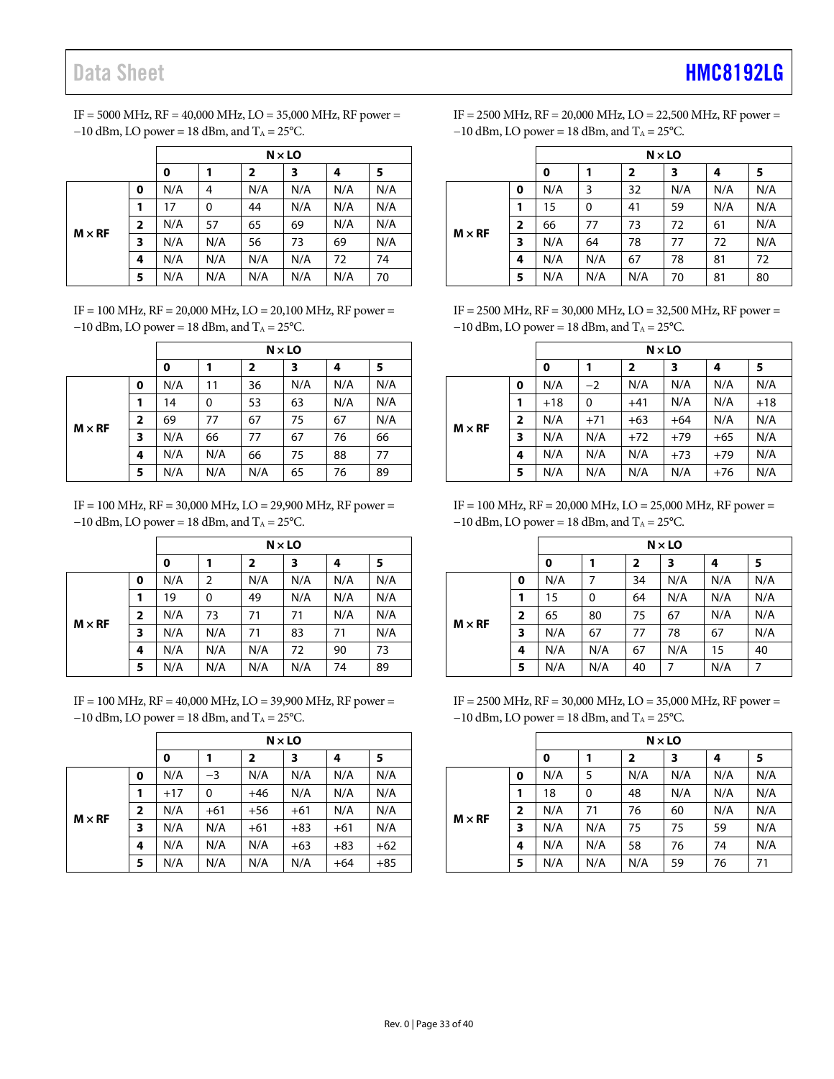# Data Sheet **[HMC8192LG](http://www.analog.com/HMC8192?doc=HMC8192LG.pdf)**

| IF = 5000 MHz, RF = 40,000 MHz, LO = 35,000 MHz, RF power = |
|-------------------------------------------------------------|
| $-10$ dBm, LO power = 18 dBm, and $T_A = 25$ °C.            |

|               |                |     | $N \times$ LO |                         |     |     |     |  |  |  |
|---------------|----------------|-----|---------------|-------------------------|-----|-----|-----|--|--|--|
|               |                | 0   | 1             | $\overline{\mathbf{2}}$ | 3   | 4   | 5   |  |  |  |
|               | 0              | N/A | 4             | N/A                     | N/A | N/A | N/A |  |  |  |
|               | 1              | 17  | 0             | 44                      | N/A | N/A | N/A |  |  |  |
| $M \times RF$ | $\overline{2}$ | N/A | 57            | 65                      | 69  | N/A | N/A |  |  |  |
|               | 3              | N/A | N/A           | 56                      | 73  | 69  | N/A |  |  |  |
|               | 4              | N/A | N/A           | N/A                     | N/A | 72  | 74  |  |  |  |
|               | 5              | N/A | N/A           | N/A                     | N/A | N/A | 70  |  |  |  |

IF = 100 MHz, RF = 20,000 MHz, LO = 20,100 MHz, RF power =  $-10$  dBm, LO power = 18 dBm, and T<sub>A</sub> = 25°C.

|               |                         |     | $N \times LO$ |              |     |     |     |  |  |
|---------------|-------------------------|-----|---------------|--------------|-----|-----|-----|--|--|
|               |                         | 0   |               | $\mathbf{2}$ | 3   | 4   | 5   |  |  |
|               | 0                       | N/A | 11            | 36           | N/A | N/A | N/A |  |  |
|               | 1                       | 14  | 0             | 53           | 63  | N/A | N/A |  |  |
| $M \times RF$ | $\overline{\mathbf{2}}$ | 69  | 77            | 67           | 75  | 67  | N/A |  |  |
|               | 3                       | N/A | 66            | 77           | 67  | 76  | 66  |  |  |
|               | 4                       | N/A | N/A           | 66           | 75  | 88  | 77  |  |  |
|               | 5                       | N/A | N/A           | N/A          | 65  | 76  | 89  |  |  |

IF = 100 MHz, RF = 30,000 MHz, LO = 29,900 MHz, RF power =  $-10$  dBm, LO power = 18 dBm, and T<sub>A</sub> = 25°C.

|               |                |     | $N \times$ LO |                         |     |     |     |  |  |
|---------------|----------------|-----|---------------|-------------------------|-----|-----|-----|--|--|
|               |                | 0   |               | $\overline{\mathbf{2}}$ | 3   | 4   | 5   |  |  |
|               | 0              | N/A | 2             | N/A                     | N/A | N/A | N/A |  |  |
|               | 1              | 19  | 0             | 49                      | N/A | N/A | N/A |  |  |
| $M \times RF$ | $\overline{2}$ | N/A | 73            | 71                      | 71  | N/A | N/A |  |  |
|               | 3              | N/A | N/A           | 71                      | 83  | 71  | N/A |  |  |
|               | 4              | N/A | N/A           | N/A                     | 72  | 90  | 73  |  |  |
|               | 5              | N/A | N/A           | N/A                     | N/A | 74  | 89  |  |  |

IF = 100 MHz, RF = 40,000 MHz, LO = 39,900 MHz, RF power =  $-10$  dBm, LO power = 18 dBm, and T<sub>A</sub> = 25°C.

|               |                         |       | $N \times LO$ |              |       |       |       |  |  |
|---------------|-------------------------|-------|---------------|--------------|-------|-------|-------|--|--|
|               |                         | 0     |               | $\mathbf{2}$ | 3     | 4     | 5     |  |  |
|               | 0                       | N/A   | $-3$          | N/A          | N/A   | N/A   | N/A   |  |  |
|               |                         | $+17$ | 0             | $+46$        | N/A   | N/A   | N/A   |  |  |
| $M \times RF$ | $\overline{\mathbf{2}}$ | N/A   | $+61$         | $+56$        | $+61$ | N/A   | N/A   |  |  |
|               | 3                       | N/A   | N/A           | $+61$        | $+83$ | $+61$ | N/A   |  |  |
|               | 4                       | N/A   | N/A           | N/A          | $+63$ | $+83$ | $+62$ |  |  |
|               | 5                       | N/A   | N/A           | N/A          | N/A   | $+64$ | $+85$ |  |  |

IF = 2500 MHz, RF = 20,000 MHz, LO = 22,500 MHz, RF power =  $-10$  dBm, LO power = 18 dBm, and T<sub>A</sub> = 25°C.

|               |              |     | $N \times$ LO |              |     |     |     |  |  |
|---------------|--------------|-----|---------------|--------------|-----|-----|-----|--|--|
|               |              | 0   | 1             | $\mathbf{2}$ | 3   | 4   | 5   |  |  |
| $M \times RF$ | 0            | N/A | 3             | 32           | N/A | N/A | N/A |  |  |
|               | 1            | 15  | 0             | 41           | 59  | N/A | N/A |  |  |
|               | $\mathbf{2}$ | 66  | 77            | 73           | 72  | 61  | N/A |  |  |
|               | 3            | N/A | 64            | 78           | 77  | 72  | N/A |  |  |
|               | 4            | N/A | N/A           | 67           | 78  | 81  | 72  |  |  |
|               | 5            | N/A | N/A           | N/A          | 70  | 81  | 80  |  |  |

IF = 2500 MHz, RF = 30,000 MHz, LO = 32,500 MHz, RF power =  $-10$  dBm, LO power = 18 dBm, and T<sub>A</sub> = 25°C.

|               |                |       | $N \times LO$ |              |       |       |       |  |  |
|---------------|----------------|-------|---------------|--------------|-------|-------|-------|--|--|
|               |                | 0     | 1             | $\mathbf{z}$ | 3     | 4     | 5     |  |  |
|               | 0              | N/A   | $-2$          | N/A          | N/A   | N/A   | N/A   |  |  |
|               | 1              | $+18$ | 0             | $+41$        | N/A   | N/A   | $+18$ |  |  |
| $M \times RF$ | $\overline{2}$ | N/A   | $+71$         | $+63$        | $+64$ | N/A   | N/A   |  |  |
|               | 3              | N/A   | N/A           | $+72$        | $+79$ | $+65$ | N/A   |  |  |
|               | 4              | N/A   | N/A           | N/A          | $+73$ | $+79$ | N/A   |  |  |
|               | 5              | N/A   | N/A           | N/A          | N/A   | $+76$ | N/A   |  |  |

IF = 100 MHz, RF = 20,000 MHz, LO = 25,000 MHz, RF power =  $-10$  dBm, LO power = 18 dBm, and T<sub>A</sub> = 25°C.

|               |                |     | $N \times LO$ |                         |     |     |     |  |  |  |
|---------------|----------------|-----|---------------|-------------------------|-----|-----|-----|--|--|--|
|               |                | 0   |               | $\overline{\mathbf{2}}$ | 3   | 4   | 5   |  |  |  |
|               | 0              | N/A | 7             | 34                      | N/A | N/A | N/A |  |  |  |
|               | 1              | 15  | 0             | 64                      | N/A | N/A | N/A |  |  |  |
| $M \times RF$ | $\overline{2}$ | 65  | 80            | 75                      | 67  | N/A | N/A |  |  |  |
|               | 3              | N/A | 67            | 77                      | 78  | 67  | N/A |  |  |  |
|               | 4              | N/A | N/A           | 67                      | N/A | 15  | 40  |  |  |  |
|               | 5              | N/A | N/A           | 40                      | 7   | N/A | 7   |  |  |  |

IF = 2500 MHz, RF = 30,000 MHz, LO = 35,000 MHz, RF power =  $-10$  dBm, LO power = 18 dBm, and T<sub>A</sub> = 25°C.

|               |                         |     | $N \times LO$ |                         |     |     |     |  |  |  |
|---------------|-------------------------|-----|---------------|-------------------------|-----|-----|-----|--|--|--|
|               |                         | 0   | 1             | $\overline{\mathbf{2}}$ | 3   | 4   | 5   |  |  |  |
|               | 0                       | N/A | 5             | N/A                     | N/A | N/A | N/A |  |  |  |
|               | 1                       | 18  | 0             | 48                      | N/A | N/A | N/A |  |  |  |
|               | $\overline{\mathbf{2}}$ | N/A | 71            | 76                      | 60  | N/A | N/A |  |  |  |
| $M \times RF$ | 3                       | N/A | N/A           | 75                      | 75  | 59  | N/A |  |  |  |
|               | 4                       | N/A | N/A           | 58                      | 76  | 74  | N/A |  |  |  |
|               | 5                       | N/A | N/A           | N/A                     | 59  | 76  | 71  |  |  |  |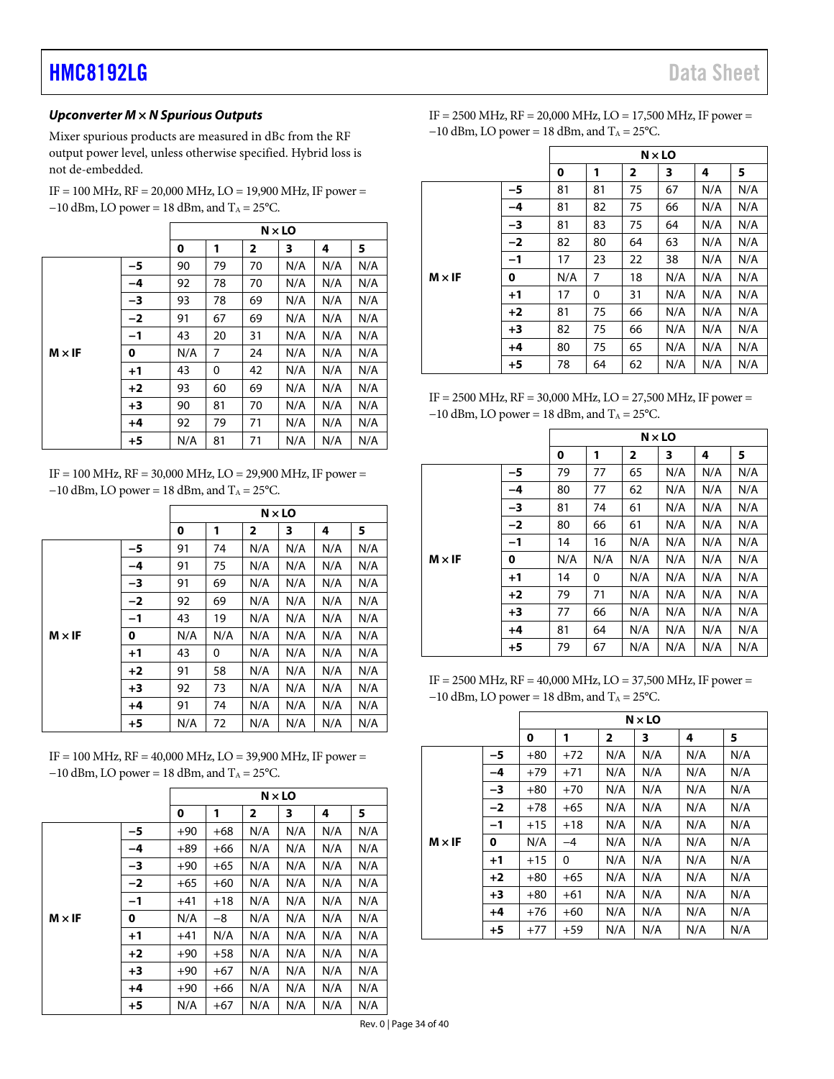#### **Upconverter M × N Spurious Outputs**

Mixer spurious products are measured in dBc from the RF output power level, unless otherwise specified. Hybrid loss is not de-embedded.

| $IF = 100 MHz$ , $RF = 20,000 MHz$ , $LO = 19,900 MHz$ , $IF$ power = |
|-----------------------------------------------------------------------|
| $-10$ dBm, LO power = 18 dBm, and T <sub>A</sub> = 25 <sup>o</sup> C. |

|               |      |     |    |                | $N \times LO$ |     |     |
|---------------|------|-----|----|----------------|---------------|-----|-----|
|               |      | 0   | 1  | $\overline{2}$ | 3             | 4   | 5   |
|               | -5   | 90  | 79 | 70             | N/A           | N/A | N/A |
|               | -4   | 92  | 78 | 70             | N/A           | N/A | N/A |
|               | -3   | 93  | 78 | 69             | N/A           | N/A | N/A |
|               | $-2$ | 91  | 67 | 69             | N/A           | N/A | N/A |
|               | $-1$ | 43  | 20 | 31             | N/A           | N/A | N/A |
| $M \times IF$ | 0    | N/A | 7  | 24             | N/A           | N/A | N/A |
|               | $+1$ | 43  | 0  | 42             | N/A           | N/A | N/A |
|               | $+2$ | 93  | 60 | 69             | N/A           | N/A | N/A |
|               | $+3$ | 90  | 81 | 70             | N/A           | N/A | N/A |
|               | $+4$ | 92  | 79 | 71             | N/A           | N/A | N/A |
|               | $+5$ | N/A | 81 | 71             | N/A           | N/A | N/A |

IF = 100 MHz, RF = 30,000 MHz, LO = 29,900 MHz, IF power =  $-10$  dBm, LO power = 18 dBm, and T<sub>A</sub> = 25°C.

|               |      |     |     |              | $N \times LO$ |     |     |
|---------------|------|-----|-----|--------------|---------------|-----|-----|
|               |      | 0   | 1   | $\mathbf{2}$ | 3             | 4   | 5   |
|               | -5   | 91  | 74  | N/A          | N/A           | N/A | N/A |
|               | -4   | 91  | 75  | N/A          | N/A           | N/A | N/A |
|               | -3   | 91  | 69  | N/A          | N/A           | N/A | N/A |
|               | $-2$ | 92  | 69  | N/A          | N/A           | N/A | N/A |
|               | $-1$ | 43  | 19  | N/A          | N/A           | N/A | N/A |
| $M \times IF$ | 0    | N/A | N/A | N/A          | N/A           | N/A | N/A |
|               | $+1$ | 43  | 0   | N/A          | N/A           | N/A | N/A |
|               | $+2$ | 91  | 58  | N/A          | N/A           | N/A | N/A |
|               | $+3$ | 92  | 73  | N/A          | N/A           | N/A | N/A |
|               | +4   | 91  | 74  | N/A          | N/A           | N/A | N/A |
|               | $+5$ | N/A | 72  | N/A          | N/A           | N/A | N/A |

IF = 100 MHz, RF = 40,000 MHz, LO = 39,900 MHz, IF power =  $-10$  dBm, LO power = 18 dBm, and T<sub>A</sub> = 25°C.

|               |      |       |       |              | $N \times LO$ |     |     |
|---------------|------|-------|-------|--------------|---------------|-----|-----|
|               |      | 0     | 1     | $\mathbf{2}$ | 3             | 4   | 5   |
|               | -5   | $+90$ | $+68$ | N/A          | N/A           | N/A | N/A |
|               | -4   | $+89$ | $+66$ | N/A          | N/A           | N/A | N/A |
|               | $-3$ | $+90$ | $+65$ | N/A          | N/A           | N/A | N/A |
|               | $-2$ | $+65$ | $+60$ | N/A          | N/A           | N/A | N/A |
|               | $-1$ | $+41$ | $+18$ | N/A          | N/A           | N/A | N/A |
| $M \times IF$ | 0    | N/A   | -8    | N/A          | N/A           | N/A | N/A |
|               | $+1$ | $+41$ | N/A   | N/A          | N/A           | N/A | N/A |
|               | $+2$ | $+90$ | $+58$ | N/A          | N/A           | N/A | N/A |
|               | $+3$ | $+90$ | $+67$ | N/A          | N/A           | N/A | N/A |
|               | $+4$ | $+90$ | $+66$ | N/A          | N/A           | N/A | N/A |
|               | $+5$ | N/A   | $+67$ | N/A          | N/A           | N/A | N/A |

| IF = 2500 MHz, $RF = 20,000$ MHz, $LO = 17,500$ MHz, IF power = |
|-----------------------------------------------------------------|
| $-10$ dBm, LO power = 18 dBm, and $T_A = 25^{\circ}C$ .         |

|               |      |     |    | $N \times LO$  |     |     |     |
|---------------|------|-----|----|----------------|-----|-----|-----|
|               |      | 0   | 1  | $\overline{2}$ | 3   | 4   | 5   |
|               | -5   | 81  | 81 | 75             | 67  | N/A | N/A |
|               | $-4$ | 81  | 82 | 75             | 66  | N/A | N/A |
|               | -3   | 81  | 83 | 75             | 64  | N/A | N/A |
|               | $-2$ | 82  | 80 | 64             | 63  | N/A | N/A |
|               | $-1$ | 17  | 23 | 22             | 38  | N/A | N/A |
| $M \times IF$ | 0    | N/A | 7  | 18             | N/A | N/A | N/A |
|               | $+1$ | 17  | 0  | 31             | N/A | N/A | N/A |
|               | $+2$ | 81  | 75 | 66             | N/A | N/A | N/A |
|               | $+3$ | 82  | 75 | 66             | N/A | N/A | N/A |
|               | $+4$ | 80  | 75 | 65             | N/A | N/A | N/A |
|               | $+5$ | 78  | 64 | 62             | N/A | N/A | N/A |

IF = 2500 MHz, RF = 30,000 MHz, LO = 27,500 MHz, IF power =  $-10$  dBm, LO power = 18 dBm, and T<sub>A</sub> = 25°C.

|      |      |     |     | $N \times LO$ |     |     |     |
|------|------|-----|-----|---------------|-----|-----|-----|
|      |      | 0   | 1   | 2             | 3   | 4   | 5   |
|      | -5   | 79  | 77  | 65            | N/A | N/A | N/A |
|      | -4   | 80  | 77  | 62            | N/A | N/A | N/A |
|      | -3   | 81  | 74  | 61            | N/A | N/A | N/A |
|      | $-2$ | 80  | 66  | 61            | N/A | N/A | N/A |
|      | $-1$ | 14  | 16  | N/A           | N/A | N/A | N/A |
| M×IF | 0    | N/A | N/A | N/A           | N/A | N/A | N/A |
|      | $+1$ | 14  | 0   | N/A           | N/A | N/A | N/A |
|      | $+2$ | 79  | 71  | N/A           | N/A | N/A | N/A |
|      | $+3$ | 77  | 66  | N/A           | N/A | N/A | N/A |
|      | $+4$ | 81  | 64  | N/A           | N/A | N/A | N/A |
|      | $+5$ | 79  | 67  | N/A           | N/A | N/A | N/A |

IF = 2500 MHz, RF = 40,000 MHz, LO = 37,500 MHz, IF power =  $-10$  dBm, LO power = 18 dBm, and T<sub>A</sub> = 25°C.

|               |      |       |       |                | $N \times LO$ |     |     |
|---------------|------|-------|-------|----------------|---------------|-----|-----|
|               |      | 0     | 1     | $\overline{2}$ | 3             | 4   | 5   |
|               | -5   | $+80$ | $+72$ | N/A            | N/A           | N/A | N/A |
|               | -4   | $+79$ | $+71$ | N/A            | N/A           | N/A | N/A |
|               | -3   | $+80$ | $+70$ | N/A            | N/A           | N/A | N/A |
|               | $-2$ | $+78$ | $+65$ | N/A            | N/A           | N/A | N/A |
|               | $-1$ | $+15$ | $+18$ | N/A            | N/A           | N/A | N/A |
| $M \times IF$ | 0    | N/A   | $-4$  | N/A            | N/A           | N/A | N/A |
|               | $+1$ | $+15$ | 0     | N/A            | N/A           | N/A | N/A |
|               | $+2$ | $+80$ | $+65$ | N/A            | N/A           | N/A | N/A |
|               | $+3$ | $+80$ | $+61$ | N/A            | N/A           | N/A | N/A |
|               | $+4$ | $+76$ | $+60$ | N/A            | N/A           | N/A | N/A |
|               | $+5$ | $+77$ | $+59$ | N/A            | N/A           | N/A | N/A |

Rev. 0 | Page 34 of 40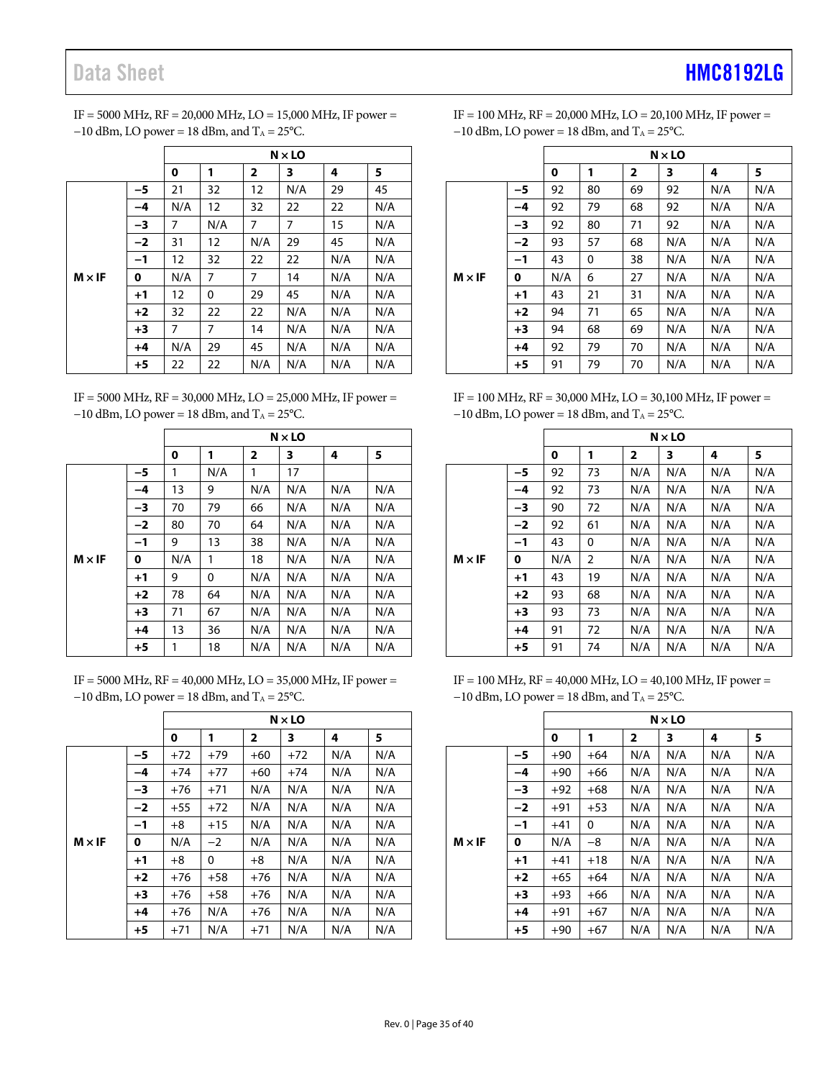# Data Sheet **[HMC8192LG](http://www.analog.com/HMC8192?doc=HMC8192LG.pdf)**

IF = 5000 MHz, RF = 20,000 MHz, LO = 15,000 MHz, IF power =  $-10$  dBm, LO power = 18 dBm, and T<sub>A</sub> = 25°C.

|               |      |     |     |                | $N \times LO$ |     |     |
|---------------|------|-----|-----|----------------|---------------|-----|-----|
|               |      | 0   | 1   | $\overline{2}$ | 3             | 4   | 5   |
|               | -5   | 21  | 32  | 12             | N/A           | 29  | 45  |
|               | $-4$ | N/A | 12  | 32             | 22            | 22  | N/A |
|               | -3   | 7   | N/A | 7              | 7             | 15  | N/A |
|               | $-2$ | 31  | 12  | N/A            | 29            | 45  | N/A |
|               | $-1$ | 12  | 32  | 22             | 22            | N/A | N/A |
| $M \times IF$ | 0    | N/A | 7   | 7              | 14            | N/A | N/A |
|               | $+1$ | 12  | 0   | 29             | 45            | N/A | N/A |
|               | $+2$ | 32  | 22  | 22             | N/A           | N/A | N/A |
|               | $+3$ | 7   | 7   | 14             | N/A           | N/A | N/A |
|               | $+4$ | N/A | 29  | 45             | N/A           | N/A | N/A |
|               | $+5$ | 22  | 22  | N/A            | N/A           | N/A | N/A |

IF = 5000 MHz, RF = 30,000 MHz, LO = 25,000 MHz, IF power = −10 dBm, LO power = 18 dBm, and T<sub>A</sub> = 25°C.

|               |      |     | $N \times$ LO |              |     |     |     |  |  |  |  |
|---------------|------|-----|---------------|--------------|-----|-----|-----|--|--|--|--|
|               |      | 0   | 1             | $\mathbf{2}$ | 3   | 4   | 5   |  |  |  |  |
|               | -5   | 1   | N/A           | 1            | 17  |     |     |  |  |  |  |
|               | -4   | 13  | 9             | N/A          | N/A | N/A | N/A |  |  |  |  |
|               | -3   | 70  | 79            | 66           | N/A | N/A | N/A |  |  |  |  |
|               | $-2$ | 80  | 70            | 64           | N/A | N/A | N/A |  |  |  |  |
|               | $-1$ | 9   | 13            | 38           | N/A | N/A | N/A |  |  |  |  |
| $M \times IF$ | 0    | N/A | 1             | 18           | N/A | N/A | N/A |  |  |  |  |
|               | $+1$ | 9   | 0             | N/A          | N/A | N/A | N/A |  |  |  |  |
|               | $+2$ | 78  | 64            | N/A          | N/A | N/A | N/A |  |  |  |  |
|               | $+3$ | 71  | 67            | N/A          | N/A | N/A | N/A |  |  |  |  |
|               | $+4$ | 13  | 36            | N/A          | N/A | N/A | N/A |  |  |  |  |
|               | $+5$ | 1   | 18            | N/A          | N/A | N/A | N/A |  |  |  |  |

IF = 5000 MHz, RF = 40,000 MHz, LO = 35,000 MHz, IF power =  $-10$  dBm, LO power = 18 dBm, and T<sub>A</sub> = 25°C.

|               |      |       |       |                | $N \times LO$ |     |     |
|---------------|------|-------|-------|----------------|---------------|-----|-----|
|               |      | 0     | 1     | $\overline{2}$ | 3             | 4   | 5   |
|               | -5   | $+72$ | $+79$ | $+60$          | $+72$         | N/A | N/A |
|               | -4   | $+74$ | $+77$ | $+60$          | $+74$         | N/A | N/A |
|               | -3   | $+76$ | $+71$ | N/A            | N/A           | N/A | N/A |
|               | $-2$ | $+55$ | $+72$ | N/A            | N/A           | N/A | N/A |
|               | $-1$ | $+8$  | $+15$ | N/A            | N/A           | N/A | N/A |
| $M \times IF$ | 0    | N/A   | $-2$  | N/A            | N/A           | N/A | N/A |
|               | $+1$ | $+8$  | 0     | $+8$           | N/A           | N/A | N/A |
|               | $+2$ | $+76$ | $+58$ | $+76$          | N/A           | N/A | N/A |
|               | $+3$ | $+76$ | $+58$ | $+76$          | N/A           | N/A | N/A |
|               | $+4$ | $+76$ | N/A   | $+76$          | N/A           | N/A | N/A |
|               | $+5$ | $+71$ | N/A   | $+71$          | N/A           | N/A | N/A |

IF = 100 MHz, RF = 20,000 MHz, LO = 20,100 MHz, IF power =  $-10$  dBm, LO power = 18 dBm, and T<sub>A</sub> = 25°C.

|               |      |     |    |                | $N \times$ LO |     |     |
|---------------|------|-----|----|----------------|---------------|-----|-----|
|               |      | 0   | 1  | $\overline{2}$ | 3             | 4   | 5   |
|               | -5   | 92  | 80 | 69             | 92            | N/A | N/A |
|               | -4   | 92  | 79 | 68             | 92            | N/A | N/A |
|               | -3   | 92  | 80 | 71             | 92            | N/A | N/A |
|               | $-2$ | 93  | 57 | 68             | N/A           | N/A | N/A |
|               | $-1$ | 43  | 0  | 38             | N/A           | N/A | N/A |
| $M \times IF$ | 0    | N/A | 6  | 27             | N/A           | N/A | N/A |
|               | $+1$ | 43  | 21 | 31             | N/A           | N/A | N/A |
|               | $+2$ | 94  | 71 | 65             | N/A           | N/A | N/A |
|               | $+3$ | 94  | 68 | 69             | N/A           | N/A | N/A |
|               | $+4$ | 92  | 79 | 70             | N/A           | N/A | N/A |
|               | $+5$ | 91  | 79 | 70             | N/A           | N/A | N/A |

IF = 100 MHz, RF = 30,000 MHz, LO = 30,100 MHz, IF power = −10 dBm, LO power = 18 dBm, and T<sub>A</sub> = 25°C.

|               |      | $N \times$ LO |                |                |     |     |     |  |  |
|---------------|------|---------------|----------------|----------------|-----|-----|-----|--|--|
|               |      | 0             | 1              | $\overline{2}$ | 3   | 4   | 5   |  |  |
|               | -5   | 92            | 73             | N/A            | N/A | N/A | N/A |  |  |
|               | -4   | 92            | 73             | N/A            | N/A | N/A | N/A |  |  |
|               | -3   | 90            | 72             | N/A            | N/A | N/A | N/A |  |  |
| $M \times IF$ | $-2$ | 92            | 61             | N/A            | N/A | N/A | N/A |  |  |
|               | $-1$ | 43            | 0              | N/A            | N/A | N/A | N/A |  |  |
|               | 0    | N/A           | $\overline{2}$ | N/A            | N/A | N/A | N/A |  |  |
|               | $+1$ | 43            | 19             | N/A            | N/A | N/A | N/A |  |  |
|               | $+2$ | 93            | 68             | N/A            | N/A | N/A | N/A |  |  |
|               | $+3$ | 93            | 73             | N/A            | N/A | N/A | N/A |  |  |
|               | $+4$ | 91            | 72             | N/A            | N/A | N/A | N/A |  |  |
|               | $+5$ | 91            | 74             | N/A            | N/A | N/A | N/A |  |  |

IF = 100 MHz, RF = 40,000 MHz, LO = 40,100 MHz, IF power =  $-10$  dBm, LO power = 18 dBm, and T<sub>A</sub> = 25°C.

|               |      | $N \times$ LO              |       |     |     |     |     |  |  |
|---------------|------|----------------------------|-------|-----|-----|-----|-----|--|--|
|               |      | 5<br>1<br>2<br>3<br>4<br>0 |       |     |     |     |     |  |  |
|               | -5   | $+90$                      | $+64$ | N/A | N/A | N/A | N/A |  |  |
|               | -4   | $+90$                      | $+66$ | N/A | N/A | N/A | N/A |  |  |
|               | -3   | $+92$                      | $+68$ | N/A | N/A | N/A | N/A |  |  |
|               | $-2$ | $+91$                      | $+53$ | N/A | N/A | N/A | N/A |  |  |
|               | $-1$ | $+41$                      | 0     | N/A | N/A | N/A | N/A |  |  |
| $M \times IF$ | 0    | N/A                        | -8    | N/A | N/A | N/A | N/A |  |  |
|               | $+1$ | $+41$                      | $+18$ | N/A | N/A | N/A | N/A |  |  |
|               | $+2$ | $+65$                      | $+64$ | N/A | N/A | N/A | N/A |  |  |
|               | $+3$ | $+93$                      | $+66$ | N/A | N/A | N/A | N/A |  |  |
|               | $+4$ | $+91$                      | $+67$ | N/A | N/A | N/A | N/A |  |  |
|               | $+5$ | $+90$                      | $+67$ | N/A | N/A | N/A | N/A |  |  |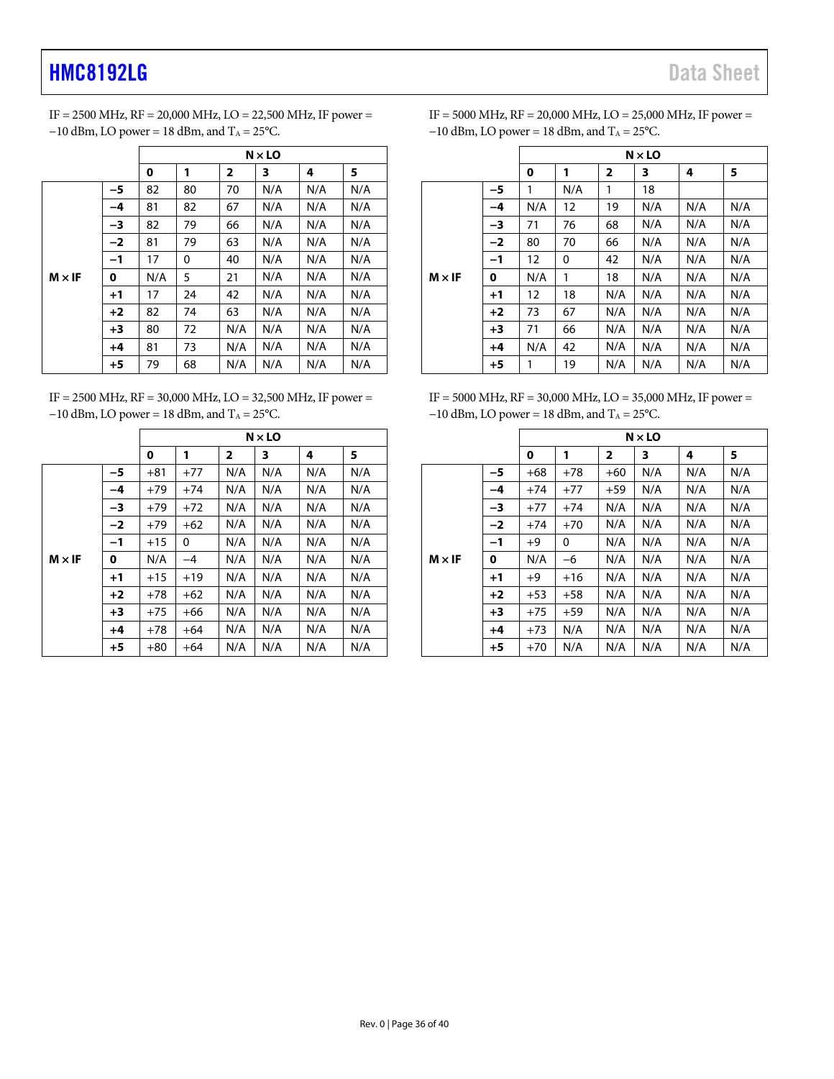IF = 2500 MHz, RF = 20,000 MHz, LO = 22,500 MHz, IF power =  $-10$  dBm, LO power = 18 dBm, and T<sub>A</sub> = 25°C.

|               |      | $N \times LO$ |                                             |     |     |     |     |  |  |
|---------------|------|---------------|---------------------------------------------|-----|-----|-----|-----|--|--|
|               |      | 0             | 1<br>5<br>$\overline{\mathbf{2}}$<br>3<br>4 |     |     |     |     |  |  |
|               | -5   | 82            | 80                                          | 70  | N/A | N/A | N/A |  |  |
|               | -4   | 81            | 82                                          | 67  | N/A | N/A | N/A |  |  |
|               | -3   | 82            | 79                                          | 66  | N/A | N/A | N/A |  |  |
|               | $-2$ | 81            | 79                                          | 63  | N/A | N/A | N/A |  |  |
|               | $-1$ | 17            | 0                                           | 40  | N/A | N/A | N/A |  |  |
| $M \times IF$ | 0    | N/A           | 5                                           | 21  | N/A | N/A | N/A |  |  |
|               | $+1$ | 17            | 24                                          | 42  | N/A | N/A | N/A |  |  |
|               | $+2$ | 82            | 74                                          | 63  | N/A | N/A | N/A |  |  |
|               | $+3$ | 80            | 72                                          | N/A | N/A | N/A | N/A |  |  |
|               | $+4$ | 81            | 73                                          | N/A | N/A | N/A | N/A |  |  |
|               | $+5$ | 79            | 68                                          | N/A | N/A | N/A | N/A |  |  |

IF = 2500 MHz, RF = 30,000 MHz, LO = 32,500 MHz, IF power = −10 dBm, LO power = 18 dBm, and T<sub>A</sub> = 25°C.

|               |      | $N \times$ LO                           |       |     |     |     |     |  |
|---------------|------|-----------------------------------------|-------|-----|-----|-----|-----|--|
|               |      | 5<br>0<br>1<br>$\overline{2}$<br>3<br>4 |       |     |     |     |     |  |
|               | -5   | $+81$                                   | $+77$ | N/A | N/A | N/A | N/A |  |
|               | $-4$ | $+79$                                   | $+74$ | N/A | N/A | N/A | N/A |  |
|               | -3   | $+79$                                   | $+72$ | N/A | N/A | N/A | N/A |  |
|               | $-2$ | $+79$                                   | $+62$ | N/A | N/A | N/A | N/A |  |
|               | $-1$ | $+15$                                   | 0     | N/A | N/A | N/A | N/A |  |
| $M \times IF$ | 0    | N/A                                     | $-4$  | N/A | N/A | N/A | N/A |  |
|               | $+1$ | $+15$                                   | $+19$ | N/A | N/A | N/A | N/A |  |
|               | $+2$ | $+78$                                   | $+62$ | N/A | N/A | N/A | N/A |  |
|               | $+3$ | $+75$                                   | $+66$ | N/A | N/A | N/A | N/A |  |
|               | $+4$ | $+78$                                   | $+64$ | N/A | N/A | N/A | N/A |  |
|               | $+5$ | $+80$                                   | $+64$ | N/A | N/A | N/A | N/A |  |

| IF = 5000 MHz, $RF = 20,000$ MHz, $LO = 25,000$ MHz, IF power = |
|-----------------------------------------------------------------|
| $-10$ dBm, LO power = 18 dBm, and T <sub>A</sub> = 25 °C.       |

|               |      | $N \times LO$ |     |              |     |     |     |  |  |
|---------------|------|---------------|-----|--------------|-----|-----|-----|--|--|
|               |      | 0             | 1   | $\mathbf{2}$ | 3   | 4   | 5   |  |  |
|               | -5   | 1             | N/A | 1            | 18  |     |     |  |  |
|               | $-4$ | N/A           | 12  | 19           | N/A | N/A | N/A |  |  |
|               | -3   | 71            | 76  | 68           | N/A | N/A | N/A |  |  |
| $M \times IF$ | $-2$ | 80            | 70  | 66           | N/A | N/A | N/A |  |  |
|               | $-1$ | 12            | 0   | 42           | N/A | N/A | N/A |  |  |
|               | 0    | N/A           | 1   | 18           | N/A | N/A | N/A |  |  |
|               | $+1$ | 12            | 18  | N/A          | N/A | N/A | N/A |  |  |
|               | $+2$ | 73            | 67  | N/A          | N/A | N/A | N/A |  |  |
|               | $+3$ | 71            | 66  | N/A          | N/A | N/A | N/A |  |  |
|               | $+4$ | N/A           | 42  | N/A          | N/A | N/A | N/A |  |  |
|               | $+5$ | 1             | 19  | N/A          | N/A | N/A | N/A |  |  |

IF = 5000 MHz, RF = 30,000 MHz, LO = 35,000 MHz, IF power = −10 dBm, LO power = 18 dBm, and T<sub>A</sub> = 25°C.

|               |      | $N \times LO$ |       |                         |     |     |     |  |
|---------------|------|---------------|-------|-------------------------|-----|-----|-----|--|
|               |      | 0             | 1     | $\overline{\mathbf{2}}$ | 3   | 4   | 5   |  |
|               | -5   | $+68$         | $+78$ | $+60$                   | N/A | N/A | N/A |  |
|               | -4   | $+74$         | $+77$ | $+59$                   | N/A | N/A | N/A |  |
|               | -3   | $+77$         | $+74$ | N/A                     | N/A | N/A | N/A |  |
|               | $-2$ | $+74$         | $+70$ | N/A                     | N/A | N/A | N/A |  |
|               | $-1$ | $+9$          | 0     | N/A                     | N/A | N/A | N/A |  |
| $M \times IF$ | 0    | N/A           | -6    | N/A                     | N/A | N/A | N/A |  |
|               | $+1$ | $+9$          | $+16$ | N/A                     | N/A | N/A | N/A |  |
|               | $+2$ | $+53$         | $+58$ | N/A                     | N/A | N/A | N/A |  |
|               | $+3$ | $+75$         | $+59$ | N/A                     | N/A | N/A | N/A |  |
|               | $+4$ | $+73$         | N/A   | N/A                     | N/A | N/A | N/A |  |
|               | $+5$ | $+70$         | N/A   | N/A                     | N/A | N/A | N/A |  |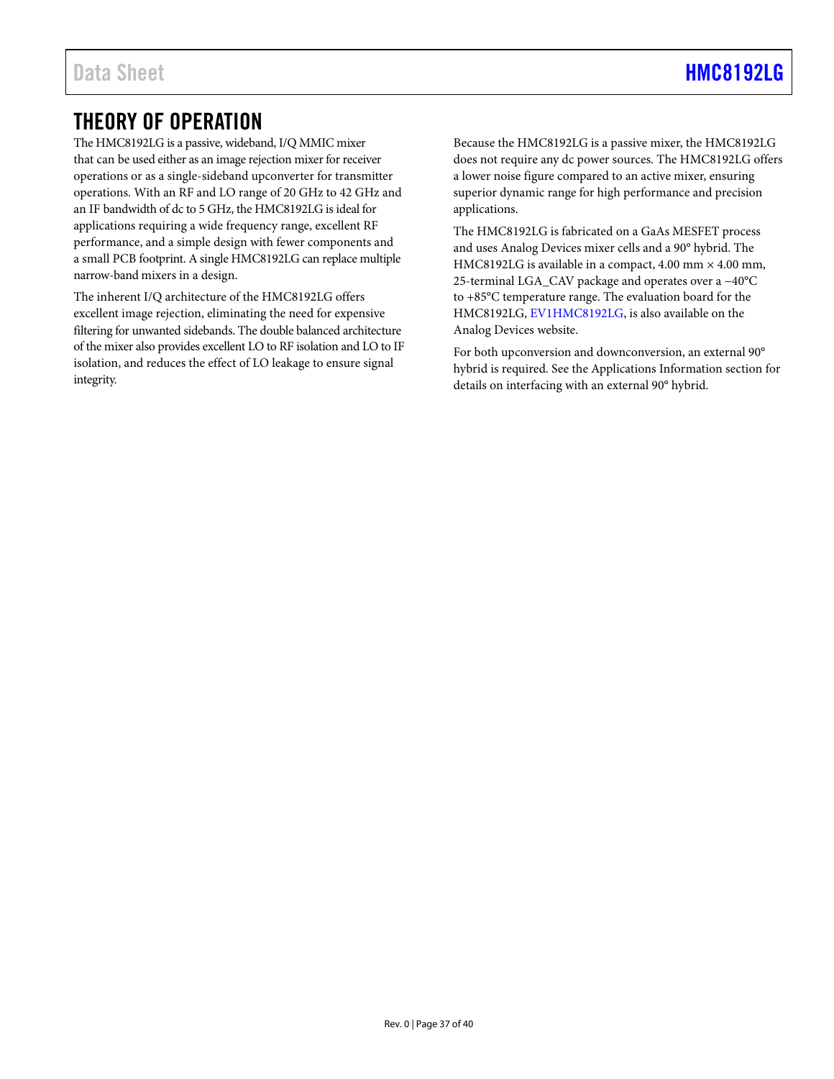### <span id="page-36-0"></span>THEORY OF OPERATION

The HMC8192LG is a passive, wideband, I/Q MMIC mixer that can be used either as an image rejection mixer for receiver operations or as a single-sideband upconverter for transmitter operations. With an RF and LO range of 20 GHz to 42 GHz and an IF bandwidth of dc to 5 GHz, the HMC8192LG is ideal for applications requiring a wide frequency range, excellent RF performance, and a simple design with fewer components and a small PCB footprint. A single HMC8192LG can replace multiple narrow-band mixers in a design.

The inherent I/Q architecture of the HMC8192LG offers excellent image rejection, eliminating the need for expensive filtering for unwanted sidebands. The double balanced architecture of the mixer also provides excellent LO to RF isolation and LO to IF isolation, and reduces the effect of LO leakage to ensure signal integrity.

Because the HMC8192LG is a passive mixer, the HMC8192LG does not require any dc power sources. The HMC8192LG offers a lower noise figure compared to an active mixer, ensuring superior dynamic range for high performance and precision applications.

The HMC8192LG is fabricated on a GaAs MESFET process and uses Analog Devices mixer cells and a 90° hybrid. The HMC8192LG is available in a compact, 4.00 mm  $\times$  4.00 mm, 25-terminal LGA\_CAV package and operates over a −40°C to +85°C temperature range. The evaluation board for the HMC8192LG, [EV1HMC8192LG,](http://www.analog.com/EVAL-HMC8192?doc=HMC8192LG.pdf) is also available on the Analog Devices website.

For both upconversion and downconversion, an external 90° hybrid is required. See th[e Applications Information](#page-37-0) section for details on interfacing with an external 90° hybrid.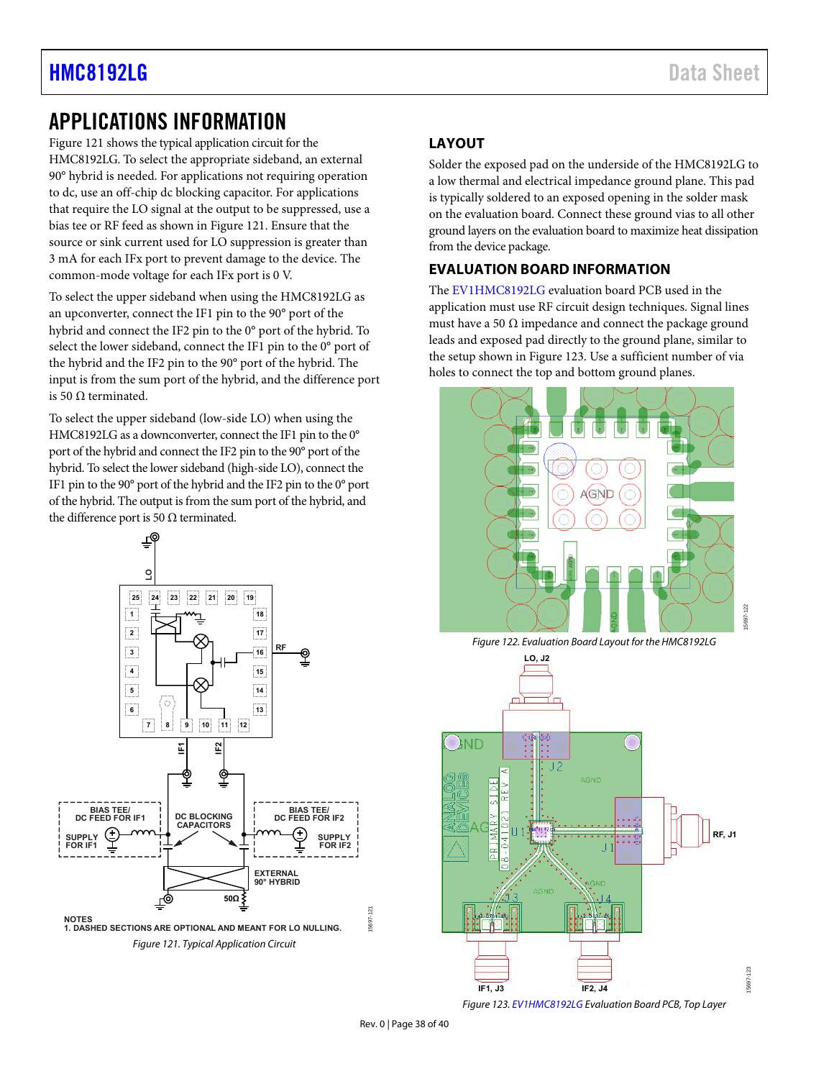## <span id="page-37-0"></span>APPLICATIONS INFORMATION

[Figure 121](#page-37-3) shows the typical application circuit for the HMC8192LG. To select the appropriate sideband, an external 90° hybrid is needed. For applications not requiring operation to dc, use an off-chip dc blocking capacitor. For applications that require the LO signal at the output to be suppressed, use a bias tee or RF feed as shown i[n Figure 121.](#page-37-3) Ensure that the source or sink current used for LO suppression is greater than 3 mA for each IFx port to prevent damage to the device. The common-mode voltage for each IFx port is 0 V.

To select the upper sideband when using the HMC8192LG as an upconverter, connect the IF1 pin to the 90° port of the hybrid and connect the IF2 pin to the 0° port of the hybrid. To select the lower sideband, connect the IF1 pin to the 0° port of the hybrid and the IF2 pin to the 90° port of the hybrid. The input is from the sum port of the hybrid, and the difference port is 50 Ω terminated.

To select the upper sideband (low-side LO) when using the HMC8192LG as a downconverter, connect the IF1 pin to the 0° port of the hybrid and connect the IF2 pin to the 90° port of the hybrid. To select the lower sideband (high-side LO), connect the IF1 pin to the 90° port of the hybrid and the IF2 pin to the 0° port of the hybrid. The output is from the sum port of the hybrid, and the difference port is 50  $Ω$  terminated.



### <span id="page-37-1"></span>**LAYOUT**

Solder the exposed pad on the underside of the HMC8192LG to a low thermal and electrical impedance ground plane. This pad is typically soldered to an exposed opening in the solder mask on the evaluation board. Connect these ground vias to all other ground layers on the evaluation board to maximize heat dissipation from the device package.

### <span id="page-37-2"></span>**EVALUATION BOARD INFORMATION**

The [EV1HMC8192LG](http://www.analog.com/EVAL-HMC8192?doc=HMC8192LG.pdf) evaluation board PCB used in the application must use RF circuit design techniques. Signal lines must have a 50  $\Omega$  impedance and connect the package ground leads and exposed pad directly to the ground plane, similar to the setup shown i[n Figure 123.](#page-37-4) Use a sufficient number of via holes to connect the top and bottom ground planes.



Figure 122. Evaluation Board Layout for the HMC8192LG



<span id="page-37-4"></span>Figure 12[3. EV1HMC8192LG E](http://www.analog.com/EVAL-HMC8192?doc=HMC8192LG.pdf)valuation Board PCB, Top Layer

15697-123

-1695

15697-121

<span id="page-37-3"></span>5697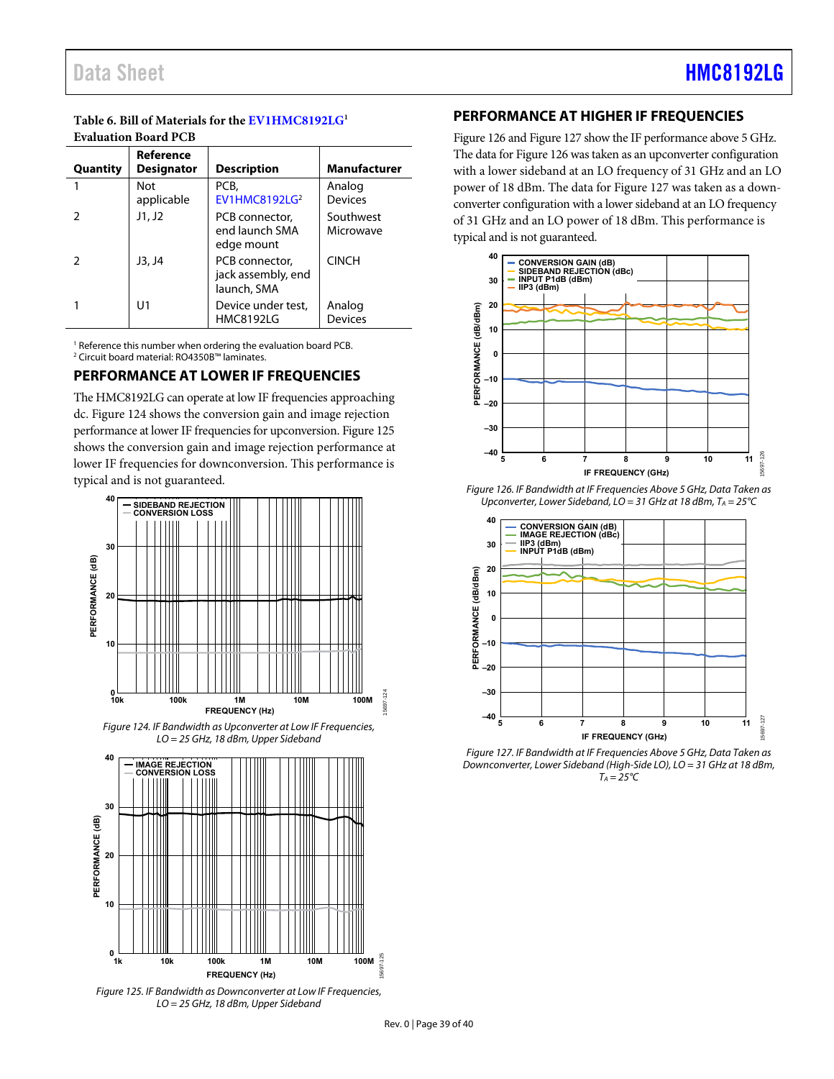#### **Table 6. Bill of Materials for the [EV1HMC8192LG1](http://www.analog.com/EVAL-HMC8192?doc=HMC8192LG.pdf) Evaluation Board PCB**

| Quantity | Reference<br><b>Designator</b> | <b>Description</b>                                  | Manufacturer             |
|----------|--------------------------------|-----------------------------------------------------|--------------------------|
|          | Not<br>applicable              | PCB,<br>EV1HMC8192LG <sup>2</sup>                   | Analog<br><b>Devices</b> |
|          | J1, J2                         | PCB connector,<br>end launch SMA<br>edge mount      | Southwest<br>Microwave   |
|          | J3, J4                         | PCB connector,<br>jack assembly, end<br>launch, SMA | <b>CINCH</b>             |
|          | U1                             | Device under test,<br><b>HMC8192LG</b>              | Analog<br><b>Devices</b> |

<sup>1</sup> Reference this number when ordering the evaluation board PCB. 2 Circuit board material: RO4350B™ laminates.

#### <span id="page-38-0"></span>**PERFORMANCE AT LOWER IF FREQUENCIES**

The HMC8192LG can operate at low IF frequencies approaching dc. [Figure 124 s](#page-38-2)hows the conversion gain and image rejection performance at lower IF frequencies for upconversion. Figure 125 shows the conversion gain and image rejection performance at lower IF frequencies for downconversion. This performance is typical and is not guaranteed.



<span id="page-38-2"></span>Figure 124. IF Bandwidth as Upconverter at Low IF Frequencies, LO = 25 GHz, 18 dBm, Upper Sideband



Figure 125. IF Bandwidth as Downconverter at Low IF Frequencies, LO = 25 GHz, 18 dBm, Upper Sideband

#### <span id="page-38-1"></span>**PERFORMANCE AT HIGHER IF FREQUENCIES**

[Figure 126](#page-38-3) an[d Figure 127 s](#page-38-4)how the IF performance above 5 GHz. The data fo[r Figure 126](#page-38-3) was taken as an upconverter configuration with a lower sideband at an LO frequency of 31 GHz and an LO power of 18 dBm. The data for [Figure 127](#page-38-4) was taken as a downconverter configuration with a lower sideband at an LO frequency of 31 GHz and an LO power of 18 dBm. This performance is typical and is not guaranteed.



<span id="page-38-3"></span>Figure 126. IF Bandwidth at IF Frequencies Above 5 GHz, Data Taken as Upconverter, Lower Sideband,  $LO = 31$  GHz at 18 dBm,  $T_A = 25^{\circ}C$ 



<span id="page-38-4"></span>Figure 127. IF Bandwidth at IF Frequencies Above 5 GHz, Data Taken as Downconverter, Lower Sideband (High-Side LO), LO = 31 GHz at 18 dBm,  $T_A = 25^{\circ}C$